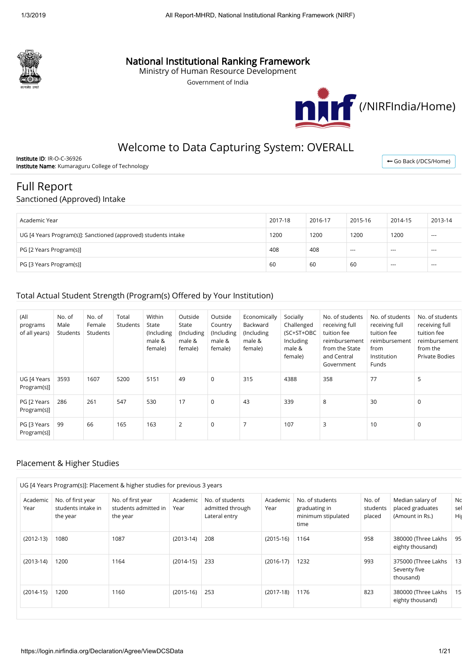

# National Institutional Ranking Framework

Ministry of Human Resource Development

Government of India



# Welcome to Data Capturing System: OVERALL

Institute ID: IR-O-C-36926 Institute Name: Kumaraguru College of Technology

← [Go Back \(/DCS/Home\)](https://login.nirfindia.org/DCS/Home)

# Full Report

### Sanctioned (Approved) Intake

| Academic Year                                                  | 2017-18 | 2016-17 | 2015-16 | 2014-15 | 2013-14  |
|----------------------------------------------------------------|---------|---------|---------|---------|----------|
| UG [4 Years Program(s)]: Sanctioned (approved) students intake | 1200    | 1200    | 1200    | 1200    | $\cdots$ |
| PG [2 Years Program(s)]                                        | 408     | 408     | ---     | $--$    | $---$    |
| PG [3 Years Program(s)]                                        | 60      | 60      | 60      | $--$    | $---$    |

# Total Actual Student Strength (Program(s) Offered by Your Institution)

| (All<br>programs<br>of all years) | No. of<br>Male<br>Students | No. of<br>Female<br>Students | Total<br>Students | Within<br>State<br>(Including<br>male &<br>female) | Outside<br>State<br>(Including<br>male &<br>female) | Outside<br>Country<br>(Including<br>male &<br>female) | Economically<br>Backward<br>(Including<br>male &<br>female) | Socially<br>Challenged<br>(SC+ST+OBC<br>Including<br>male &<br>female) | No. of students<br>receiving full<br>tuition fee<br>reimbursement<br>from the State<br>and Central<br>Government | No. of students<br>receiving full<br>tuition fee<br>reimbursement<br>from<br>Institution<br>Funds | No. of students<br>receiving full<br>tuition fee<br>reimbursement<br>from the<br><b>Private Bodies</b> |
|-----------------------------------|----------------------------|------------------------------|-------------------|----------------------------------------------------|-----------------------------------------------------|-------------------------------------------------------|-------------------------------------------------------------|------------------------------------------------------------------------|------------------------------------------------------------------------------------------------------------------|---------------------------------------------------------------------------------------------------|--------------------------------------------------------------------------------------------------------|
| UG [4 Years<br>Program(s)]        | 3593                       | 1607                         | 5200              | 5151                                               | 49                                                  | $\mathbf 0$                                           | 315                                                         | 4388                                                                   | 358                                                                                                              | 77                                                                                                | 5                                                                                                      |
| PG [2 Years<br>Program(s)]        | 286                        | 261                          | 547               | 530                                                | 17                                                  | $\mathbf 0$                                           | 43                                                          | 339                                                                    | 8                                                                                                                | 30                                                                                                | $\mathbf 0$                                                                                            |
| PG [3 Years<br>Program(s)]        | 99                         | 66                           | 165               | 163                                                | $\overline{2}$                                      | $\mathbf 0$                                           | 7                                                           | 107                                                                    | 3                                                                                                                | 10                                                                                                | 0                                                                                                      |

## Placement & Higher Studies

| UG [4 Years Program(s)]: Placement & higher studies for previous 3 years |                                                     |                                                       |                  |                                                      |                  |                                                                |                              |                                                         |                   |  |
|--------------------------------------------------------------------------|-----------------------------------------------------|-------------------------------------------------------|------------------|------------------------------------------------------|------------------|----------------------------------------------------------------|------------------------------|---------------------------------------------------------|-------------------|--|
| Academic<br>Year                                                         | No. of first year<br>students intake in<br>the year | No. of first year<br>students admitted in<br>the year | Academic<br>Year | No. of students<br>admitted through<br>Lateral entry | Academic<br>Year | No. of students<br>graduating in<br>minimum stipulated<br>time | No. of<br>students<br>placed | Median salary of<br>placed graduates<br>(Amount in Rs.) | Nc.<br>sel<br>Hiş |  |
| $(2012-13)$                                                              | 1080                                                | 1087                                                  | $(2013-14)$      | 208                                                  | $(2015-16)$      | 1164                                                           | 958                          | 380000 (Three Lakhs<br>eighty thousand)                 | 95                |  |
| $(2013-14)$                                                              | 1200                                                | 1164                                                  | $(2014-15)$      | 233                                                  | $(2016-17)$      | 1232                                                           | 993                          | 375000 (Three Lakhs<br>Seventy five<br>thousand)        | 13                |  |
| $(2014-15)$                                                              | 1200                                                | 1160                                                  | $(2015-16)$      | 253                                                  | $(2017-18)$      | 1176                                                           | 823                          | 380000 (Three Lakhs<br>eighty thousand)                 | 15                |  |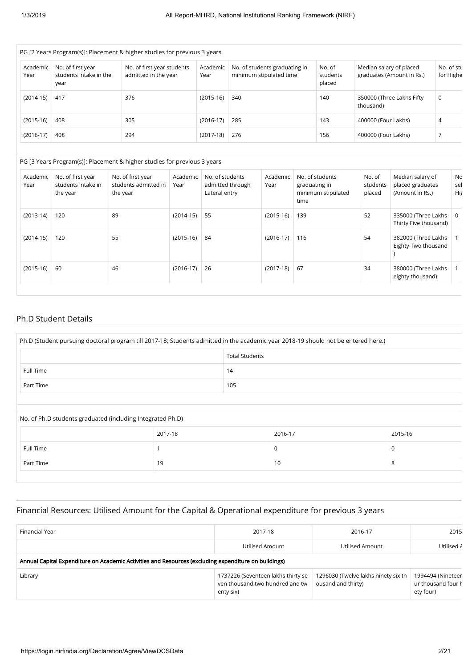| PG [2 Years Program(s)]: Placement & higher studies for previous 3 years |                                                     |                                                    |                  |                                                          |                              |                                                      |                         |  |  |  |  |
|--------------------------------------------------------------------------|-----------------------------------------------------|----------------------------------------------------|------------------|----------------------------------------------------------|------------------------------|------------------------------------------------------|-------------------------|--|--|--|--|
| Academic<br>Year                                                         | No. of first year<br>students intake in the<br>year | No. of first year students<br>admitted in the year | Academic<br>Year | No. of students graduating in<br>minimum stipulated time | No. of<br>students<br>placed | Median salary of placed<br>graduates (Amount in Rs.) | No. of stu<br>for Highe |  |  |  |  |
| $(2014-15)$                                                              | 417                                                 | 376                                                | $(2015-16)$      | 340                                                      | 140                          | 350000 (Three Lakhs Fifty<br>thousand)               | 0                       |  |  |  |  |
| $(2015-16)$                                                              | 408                                                 | 305                                                | $(2016-17)$      | 285                                                      | 143                          | 400000 (Four Lakhs)                                  | 4                       |  |  |  |  |
| $(2016-17)$                                                              | 408                                                 | 294                                                | $(2017-18)$      | 276                                                      | 156                          | 400000 (Four Lakhs)                                  |                         |  |  |  |  |

#### PG [3 Years Program(s)]: Placement & higher studies for previous 3 years

| Academic<br>Year | No. of first year<br>students intake in<br>the year | No. of first year<br>students admitted in<br>the year | Academic<br>Year | No. of students<br>admitted through<br>Lateral entry | Academic<br>Year | No. of students<br>graduating in<br>minimum stipulated<br>time | No. of<br>students<br>placed | Median salary of<br>placed graduates<br>(Amount in Rs.) | Nc.<br>sel<br>His |
|------------------|-----------------------------------------------------|-------------------------------------------------------|------------------|------------------------------------------------------|------------------|----------------------------------------------------------------|------------------------------|---------------------------------------------------------|-------------------|
| $(2013-14)$      | 120                                                 | 89                                                    | $(2014-15)$      | 55                                                   | $(2015-16)$      | 139                                                            | 52                           | 335000 (Three Lakhs<br>Thirty Five thousand)            | 0                 |
| $(2014-15)$      | 120                                                 | 55                                                    | $(2015-16)$      | 84                                                   | $(2016-17)$      | 116                                                            | 54                           | 382000 (Three Lakhs<br>Eighty Two thousand              |                   |
| $(2015-16)$      | 60                                                  | 46                                                    | $(2016-17)$      | 26                                                   | $(2017-18)$      | 67                                                             | 34                           | 380000 (Three Lakhs<br>eighty thousand)                 |                   |

#### Ph.D Student Details

| Ph.D (Student pursuing doctoral program till 2017-18; Students admitted in the academic year 2018-19 should not be entered here.) |     |  |  |  |  |
|-----------------------------------------------------------------------------------------------------------------------------------|-----|--|--|--|--|
| <b>Total Students</b>                                                                                                             |     |  |  |  |  |
| <b>Full Time</b>                                                                                                                  | 14  |  |  |  |  |
| Part Time                                                                                                                         | 105 |  |  |  |  |
|                                                                                                                                   |     |  |  |  |  |

No. of Ph.D students graduated (including Integrated Ph.D)

| Full Time<br>A.<br>Part Time<br>19<br>10 | 2017-18 | 2016-17 | 2015-16 |
|------------------------------------------|---------|---------|---------|
|                                          |         |         |         |
|                                          |         |         |         |

### Financial Resources: Utilised Amount for the Capital & Operational expenditure for previous 3 years

| Financial Year                                                                                       | 2017-18                                                                            | 2016-17                                                   | 2015                                                 |  |  |  |  |  |
|------------------------------------------------------------------------------------------------------|------------------------------------------------------------------------------------|-----------------------------------------------------------|------------------------------------------------------|--|--|--|--|--|
|                                                                                                      | Utilised Amount                                                                    | Utilised Amount                                           | Utilised /                                           |  |  |  |  |  |
| Annual Capital Expenditure on Academic Activities and Resources (excluding expenditure on buildings) |                                                                                    |                                                           |                                                      |  |  |  |  |  |
| Library                                                                                              | 1737226 (Seventeen lakhs thirty se<br>ven thousand two hundred and tw<br>enty six) | 1296030 (Twelve lakhs ninety six th<br>ousand and thirty) | 1994494 (Nineteer<br>ur thousand four h<br>ety four) |  |  |  |  |  |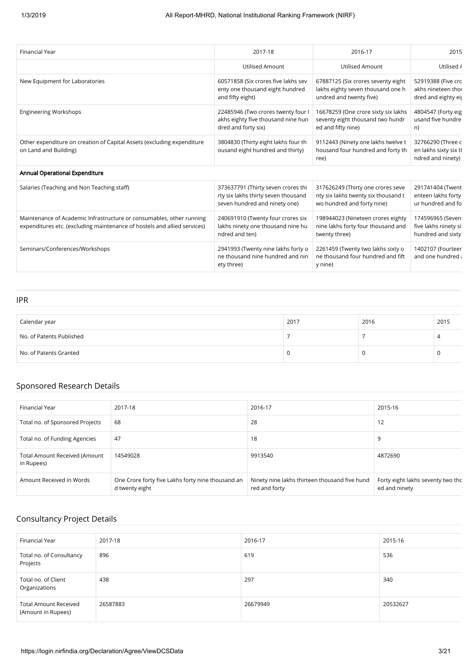| <b>Financial Year</b>                                                                                                                            | 2017-18                                                                                                    | 2016-17                                                                                                | 2015                                                            |
|--------------------------------------------------------------------------------------------------------------------------------------------------|------------------------------------------------------------------------------------------------------------|--------------------------------------------------------------------------------------------------------|-----------------------------------------------------------------|
|                                                                                                                                                  | <b>Utilised Amount</b>                                                                                     | <b>Utilised Amount</b>                                                                                 | Utilised /                                                      |
| New Equipment for Laboratories                                                                                                                   | 60571858 (Six crores five lakhs sev<br>enty one thousand eight hundred<br>and fifty eight)                 | 67887125 (Six crores seventy eight<br>lakhs eighty seven thousand one h<br>undred and twenty five)     | 52919388 (Five crc<br>akhs nineteen thoi<br>dred and eighty eij |
| <b>Engineering Workshops</b>                                                                                                                     | 22485946 (Two crores twenty four I<br>akhs eighty five thousand nine hun<br>dred and forty six)            | 16678259 (One crore sixty six lakhs<br>seventy eight thousand two hundr<br>ed and fifty nine)          | 4804547 (Forty eig<br>usand five hundre<br>n)                   |
| Other expenditure on creation of Capital Assets (excluding expenditure<br>on Land and Building)                                                  | 3804830 (Thirty eight lakhs four th<br>ousand eight hundred and thirty)                                    | 9112443 (Ninety one lakhs twelve t<br>housand four hundred and forty th<br>ree)                        | 32766290 (Three c<br>en lakhs sixty six tl<br>ndred and ninety) |
| Annual Operational Expenditure                                                                                                                   |                                                                                                            |                                                                                                        |                                                                 |
| Salaries (Teaching and Non Teaching staff)                                                                                                       | 373637791 (Thirty seven crores thi<br>rty six lakhs thirty seven thousand<br>seven hundred and ninety one) | 317626249 (Thirty one crores seve<br>nty six lakhs twenty six thousand t<br>wo hundred and forty nine) | 291741404 (Twent<br>enteen lakhs forty<br>ur hundred and fo     |
| Maintenance of Academic Infrastructure or consumables, other running<br>expenditures etc. (excluding maintenance of hostels and allied services) | 240691910 (Twenty four crores six<br>lakhs ninety one thousand nine hu<br>ndred and ten)                   | 198944023 (Nineteen crores eighty<br>nine lakhs forty four thousand and<br>twenty three)               | 174596965 (Seven<br>five lakhs ninety si:<br>hundred and sixty  |
| Seminars/Conferences/Workshops                                                                                                                   | 2941993 (Twenty nine lakhs forty o<br>ne thousand nine hundred and nin<br>ety three)                       | 2261459 (Twenty two lakhs sixty o<br>ne thousand four hundred and fift<br>y nine)                      | 1402107 (Fourteer<br>and one hundred a                          |

IPR

| Calendar year            | 2017 | 2016 | 2015 |
|--------------------------|------|------|------|
| No. of Patents Published |      |      |      |
| No. of Patents Granted   |      |      |      |

# Sponsored Research Details

| Financial Year                                     | 2017-18                                                             | 2016-17                                                        | 2015-16                                            |
|----------------------------------------------------|---------------------------------------------------------------------|----------------------------------------------------------------|----------------------------------------------------|
| Total no. of Sponsored Projects                    | 68                                                                  | 28                                                             | 12                                                 |
| Total no. of Funding Agencies                      | 47                                                                  | 18                                                             | ç                                                  |
| <b>Total Amount Received (Amount</b><br>in Rupees) | 14549028                                                            | 9913540                                                        | 4872690                                            |
| Amount Received in Words                           | One Crore forty five Lakhs forty nine thousand an<br>d twenty eight | Ninety nine lakhs thirteen thousand five hund<br>red and forty | Forty eight lakhs seventy two thc<br>ed and ninety |

# Consultancy Project Details

| Financial Year                                     | 2017-18  | 2016-17  | 2015-16  |
|----------------------------------------------------|----------|----------|----------|
| Total no. of Consultancy<br>Projects               | 896      | 619      | 536      |
| Total no. of Client<br>Organizations               | 438      | 297      | 340      |
| <b>Total Amount Received</b><br>(Amount in Rupees) | 26587883 | 26679949 | 20532627 |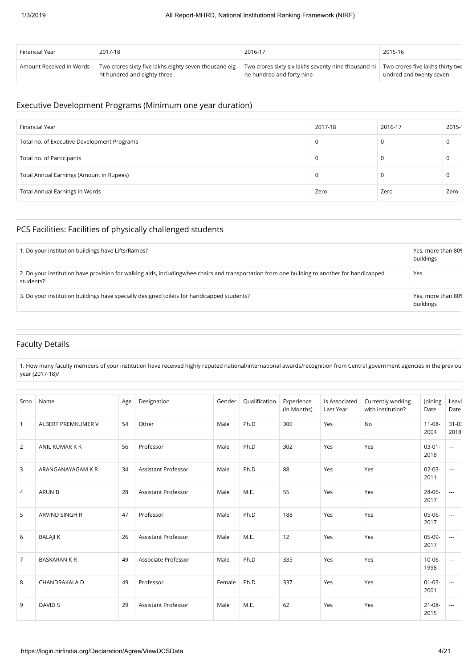| Financial Year           | 2017-18                                               | 2016-17                                             | 2015-16                          |
|--------------------------|-------------------------------------------------------|-----------------------------------------------------|----------------------------------|
| Amount Received in Words | Two crores sixty five lakhs eighty seven thousand eig | Two crores sixty six lakhs seventy nine thousand ni | Two crores five lakhs thirty two |
|                          | ht hundred and eighty three                           | ne hundred and forty nine                           | undred and twenty seven          |

# Executive Development Programs (Minimum one year duration)

| Financial Year                              | 2017-18 | 2016-17 | 2015- |
|---------------------------------------------|---------|---------|-------|
| Total no. of Executive Development Programs |         | L.      |       |
| Total no. of Participants                   |         |         |       |
| Total Annual Earnings (Amount in Rupees)    |         | J.      |       |
| Total Annual Earnings in Words              | Zero    | Zero    | Zero  |

### PCS Facilities: Facilities of physically challenged students

| 1. Do your institution buildings have Lifts/Ramps?                                                                                                        | Yes, more than 809<br>buildings |
|-----------------------------------------------------------------------------------------------------------------------------------------------------------|---------------------------------|
| 2. Do your institution have provision for walking aids, includingwheelchairs and transportation from one building to another for handicapped<br>students? | Yes                             |
| 3. Do your institution buildings have specially designed toilets for handicapped students?                                                                | Yes, more than 809<br>buildings |

## Faculty Details

1. How many faculty members of your institution have received highly reputed national/international awards/recognition from Central government agencies in the previou year (2017-18)?

| Srno           | Name                 | Age | Designation                | Gender | Qualification | Experience<br>(In Months) | Is Associated<br>Last Year | Currently working<br>with institution? | Joining<br>Date     | Leavi<br>Date      |
|----------------|----------------------|-----|----------------------------|--------|---------------|---------------------------|----------------------------|----------------------------------------|---------------------|--------------------|
| $\mathbf{1}$   | ALBERT PREMKUMER V   | 54  | Other                      | Male   | Ph.D          | 300                       | Yes                        | <b>No</b>                              | $11 - 08 -$<br>2004 | $31 - 0.5$<br>2018 |
| $\overline{2}$ | ANIL KUMAR K K       | 56  | Professor                  | Male   | Ph.D          | 302                       | Yes                        | Yes                                    | $03 - 01 -$<br>2018 | $\sim$ $\sim$      |
| 3              | ARANGANAYAGAM K R    | 34  | Assistant Professor        | Male   | Ph.D          | 88                        | Yes                        | Yes                                    | $02 - 03 -$<br>2011 | $\overline{a}$     |
| 4              | <b>ARUN B</b>        | 28  | <b>Assistant Professor</b> | Male   | M.E.          | 55                        | Yes                        | Yes                                    | $28 - 06 -$<br>2017 | $\overline{a}$     |
| 5              | ARVIND SINGH R       | 47  | Professor                  | Male   | Ph.D          | 188                       | Yes                        | Yes                                    | 05-06-<br>2017      | $\overline{a}$     |
| 6              | <b>BALAJIK</b>       | 26  | <b>Assistant Professor</b> | Male   | M.E.          | 12                        | Yes                        | Yes                                    | $05-09-$<br>2017    | $\overline{a}$     |
| $\overline{7}$ | <b>BASKARAN K R</b>  | 49  | Associate Professor        | Male   | Ph.D          | 335                       | Yes                        | Yes                                    | $10 - 06 -$<br>1998 | $\overline{a}$     |
| 8              | <b>CHANDRAKALA D</b> | 49  | Professor                  | Female | Ph.D          | 337                       | Yes                        | Yes                                    | $01 - 03 -$<br>2001 | $\overline{a}$     |
| 9              | <b>DAVID S</b>       | 29  | <b>Assistant Professor</b> | Male   | M.E.          | 62                        | Yes                        | Yes                                    | $21 - 08 -$<br>2015 | $\overline{a}$     |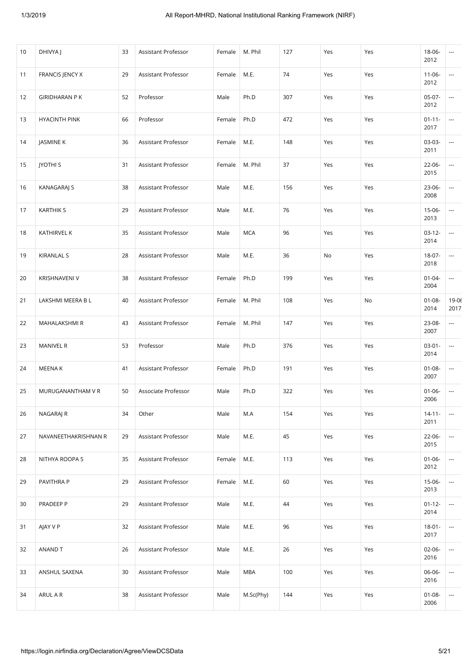| 10 | DHIVYA J             | 33 | Assistant Professor | Female | M. Phil    | 127 | Yes | Yes | 18-06-<br>2012      | $\cdots$                 |
|----|----------------------|----|---------------------|--------|------------|-----|-----|-----|---------------------|--------------------------|
| 11 | FRANCIS JENCY X      | 29 | Assistant Professor | Female | M.E.       | 74  | Yes | Yes | $11 - 06 -$<br>2012 | $\overline{\phantom{a}}$ |
| 12 | <b>GIRIDHARAN PK</b> | 52 | Professor           | Male   | Ph.D       | 307 | Yes | Yes | $05-07-$<br>2012    | ---                      |
| 13 | <b>HYACINTH PINK</b> | 66 | Professor           | Female | Ph.D       | 472 | Yes | Yes | $01 - 11 -$<br>2017 | ---                      |
| 14 | JASMINE K            | 36 | Assistant Professor | Female | M.E.       | 148 | Yes | Yes | 03-03-<br>2011      | ---                      |
| 15 | <b>JYOTHI S</b>      | 31 | Assistant Professor | Female | M. Phil    | 37  | Yes | Yes | 22-06-<br>2015      | $\overline{\phantom{a}}$ |
| 16 | <b>KANAGARAJ S</b>   | 38 | Assistant Professor | Male   | M.E.       | 156 | Yes | Yes | 23-06-<br>2008      | $\overline{\phantom{a}}$ |
| 17 | <b>KARTHIK S</b>     | 29 | Assistant Professor | Male   | M.E.       | 76  | Yes | Yes | $15-06-$<br>2013    | ---                      |
| 18 | KATHIRVEL K          | 35 | Assistant Professor | Male   | <b>MCA</b> | 96  | Yes | Yes | $03-12-$<br>2014    | $\overline{\phantom{a}}$ |
| 19 | <b>KIRANLAL S</b>    | 28 | Assistant Professor | Male   | M.E.       | 36  | No  | Yes | 18-07-<br>2018      | ---                      |
| 20 | KRISHNAVENI V        | 38 | Assistant Professor | Female | Ph.D       | 199 | Yes | Yes | $01 - 04 -$<br>2004 | $\overline{\phantom{a}}$ |
| 21 | LAKSHMI MEERA B L    | 40 | Assistant Professor | Female | M. Phil    | 108 | Yes | No  | $01 - 08 -$<br>2014 | $19 - 06$<br>2017        |
| 22 | MAHALAKSHMI R        | 43 | Assistant Professor | Female | M. Phil    | 147 | Yes | Yes | 23-08-<br>2007      | $\overline{\phantom{a}}$ |
| 23 | MANIVEL R            | 53 | Professor           | Male   | Ph.D       | 376 | Yes | Yes | $03 - 01 -$<br>2014 | $\overline{\phantom{a}}$ |
| 24 | MEENA K              | 41 | Assistant Professor | Female | Ph.D       | 191 | Yes | Yes | $01 - 08 -$<br>2007 | $\overline{\phantom{a}}$ |
| 25 | MURUGANANTHAM V R    | 50 | Associate Professor | Male   | Ph.D       | 322 | Yes | Yes | $01 - 06 -$<br>2006 | ---                      |
| 26 | NAGARAJ R            | 34 | Other               | Male   | M.A        | 154 | Yes | Yes | $14 - 11 -$<br>2011 | $\overline{\phantom{a}}$ |
| 27 | NAVANEETHAKRISHNAN R | 29 | Assistant Professor | Male   | M.E.       | 45  | Yes | Yes | 22-06-<br>2015      | $\overline{\phantom{a}}$ |
| 28 | NITHYA ROOPA S       | 35 | Assistant Professor | Female | M.E.       | 113 | Yes | Yes | $01 - 06 -$<br>2012 | $\overline{\phantom{a}}$ |
| 29 | PAVITHRA P           | 29 | Assistant Professor | Female | M.E.       | 60  | Yes | Yes | 15-06-<br>2013      | $\overline{\phantom{a}}$ |
| 30 | PRADEEP P            | 29 | Assistant Professor | Male   | M.E.       | 44  | Yes | Yes | $01 - 12 -$<br>2014 | $\overline{\phantom{a}}$ |
| 31 | AJAY V P             | 32 | Assistant Professor | Male   | M.E.       | 96  | Yes | Yes | $18 - 01 -$<br>2017 | $\overline{\phantom{a}}$ |
| 32 | ANAND T              | 26 | Assistant Professor | Male   | M.E.       | 26  | Yes | Yes | $02 - 06 -$<br>2016 | $\overline{\phantom{a}}$ |
| 33 | ANSHUL SAXENA        | 30 | Assistant Professor | Male   | MBA        | 100 | Yes | Yes | 06-06-<br>2016      | ---                      |
| 34 | ARUL A R             | 38 | Assistant Professor | Male   | M.Sc(Phy)  | 144 | Yes | Yes | $01 - 08 -$<br>2006 | $\overline{\phantom{a}}$ |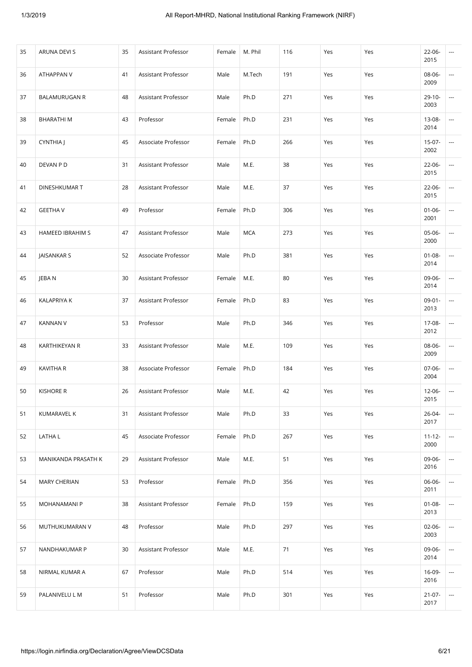| 35 | ARUNA DEVI S         | 35 | Assistant Professor | Female | M. Phil    | 116 | Yes | Yes | 22-06-<br>2015      | ---                      |
|----|----------------------|----|---------------------|--------|------------|-----|-----|-----|---------------------|--------------------------|
| 36 | ATHAPPAN V           | 41 | Assistant Professor | Male   | M.Tech     | 191 | Yes | Yes | 08-06-<br>2009      | $\overline{\phantom{a}}$ |
| 37 | <b>BALAMURUGAN R</b> | 48 | Assistant Professor | Male   | Ph.D       | 271 | Yes | Yes | 29-10-<br>2003      | ---                      |
| 38 | <b>BHARATHIM</b>     | 43 | Professor           | Female | Ph.D       | 231 | Yes | Yes | 13-08-<br>2014      | ---                      |
| 39 | CYNTHIA J            | 45 | Associate Professor | Female | Ph.D       | 266 | Yes | Yes | $15-07-$<br>2002    | $\overline{\phantom{a}}$ |
| 40 | DEVAN P D            | 31 | Assistant Professor | Male   | M.E.       | 38  | Yes | Yes | 22-06-<br>2015      | $\overline{\phantom{a}}$ |
| 41 | DINESHKUMAR T        | 28 | Assistant Professor | Male   | M.E.       | 37  | Yes | Yes | 22-06-<br>2015      | ---                      |
| 42 | <b>GEETHA V</b>      | 49 | Professor           | Female | Ph.D       | 306 | Yes | Yes | $01 - 06 -$<br>2001 | ---                      |
| 43 | HAMEED IBRAHIM S     | 47 | Assistant Professor | Male   | <b>MCA</b> | 273 | Yes | Yes | 05-06-<br>2000      | ---                      |
| 44 | JAISANKAR S          | 52 | Associate Professor | Male   | Ph.D       | 381 | Yes | Yes | $01 - 08 -$<br>2014 | $\overline{\phantom{a}}$ |
| 45 | JEBA N               | 30 | Assistant Professor | Female | M.E.       | 80  | Yes | Yes | 09-06-<br>2014      | ---                      |
| 46 | <b>KALAPRIYA K</b>   | 37 | Assistant Professor | Female | Ph.D       | 83  | Yes | Yes | $09 - 01 -$<br>2013 | ---                      |
| 47 | <b>KANNAN V</b>      | 53 | Professor           | Male   | Ph.D       | 346 | Yes | Yes | 17-08-<br>2012      | ---                      |
| 48 | KARTHIKEYAN R        | 33 | Assistant Professor | Male   | M.E.       | 109 | Yes | Yes | 08-06-<br>2009      | $\overline{\phantom{a}}$ |
| 49 | KAVITHA R            | 38 | Associate Professor | Female | Ph.D       | 184 | Yes | Yes | 07-06-<br>2004      | ---                      |
| 50 | <b>KISHORE R</b>     | 26 | Assistant Professor | Male   | M.E.       | 42  | Yes | Yes | 12-06-<br>2015      | $\overline{\phantom{a}}$ |
| 51 | KUMARAVEL K          | 31 | Assistant Professor | Male   | Ph.D       | 33  | Yes | Yes | $26 - 04 -$<br>2017 | $\overline{\phantom{a}}$ |
| 52 | LATHA L              | 45 | Associate Professor | Female | Ph.D       | 267 | Yes | Yes | $11 - 12 -$<br>2000 | ---                      |
| 53 | MANIKANDA PRASATH K  | 29 | Assistant Professor | Male   | M.E.       | 51  | Yes | Yes | 09-06-<br>2016      | $\overline{\phantom{a}}$ |
| 54 | <b>MARY CHERIAN</b>  | 53 | Professor           | Female | Ph.D       | 356 | Yes | Yes | 06-06-<br>2011      | ---                      |
| 55 | MOHANAMANI P         | 38 | Assistant Professor | Female | Ph.D       | 159 | Yes | Yes | $01 - 08 -$<br>2013 | ---                      |
| 56 | MUTHUKUMARAN V       | 48 | Professor           | Male   | Ph.D       | 297 | Yes | Yes | $02 - 06 -$<br>2003 | $\overline{\phantom{a}}$ |
| 57 | NANDHAKUMAR P        | 30 | Assistant Professor | Male   | M.E.       | 71  | Yes | Yes | 09-06-<br>2014      | $\overline{\phantom{a}}$ |
| 58 | NIRMAL KUMAR A       | 67 | Professor           | Male   | Ph.D       | 514 | Yes | Yes | 16-09-<br>2016      | ---                      |
| 59 | PALANIVELU L M       | 51 | Professor           | Male   | Ph.D       | 301 | Yes | Yes | $21 - 07 -$<br>2017 | ---                      |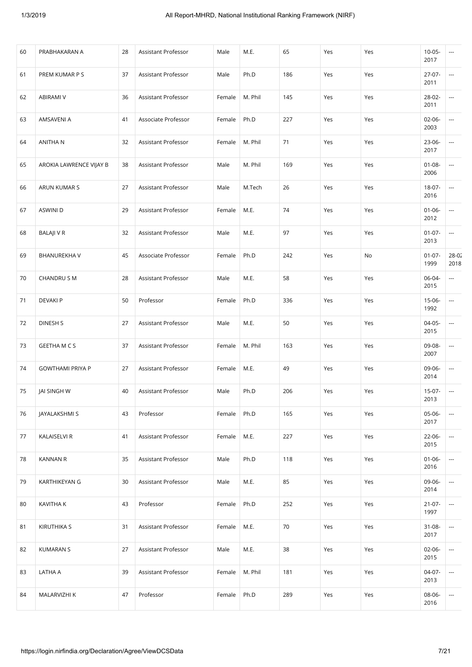| 60 | PRABHAKARAN A           | 28 | Assistant Professor | Male   | M.E.    | 65  | Yes | Yes | $10 - 05 -$<br>2017 | ---                           |
|----|-------------------------|----|---------------------|--------|---------|-----|-----|-----|---------------------|-------------------------------|
| 61 | PREM KUMAR P S          | 37 | Assistant Professor | Male   | Ph.D    | 186 | Yes | Yes | $27-07-$<br>2011    | ---                           |
| 62 | ABIRAMI V               | 36 | Assistant Professor | Female | M. Phil | 145 | Yes | Yes | 28-02-<br>2011      | $\overline{\phantom{a}}$      |
| 63 | AMSAVENI A              | 41 | Associate Professor | Female | Ph.D    | 227 | Yes | Yes | 02-06-<br>2003      | $\overline{\phantom{a}}$      |
| 64 | ANITHA N                | 32 | Assistant Professor | Female | M. Phil | 71  | Yes | Yes | $23-06-$<br>2017    | ---                           |
| 65 | AROKIA LAWRENCE VIJAY B | 38 | Assistant Professor | Male   | M. Phil | 169 | Yes | Yes | $01 - 08 -$<br>2006 | $\overline{\phantom{a}}$      |
| 66 | ARUN KUMAR S            | 27 | Assistant Professor | Male   | M.Tech  | 26  | Yes | Yes | $18 - 07 -$<br>2016 | $\overline{\phantom{a}}$      |
| 67 | ASWINI D                | 29 | Assistant Professor | Female | M.E.    | 74  | Yes | Yes | $01 - 06 -$<br>2012 | $\overline{\phantom{a}}$      |
| 68 | <b>BALAJI V R</b>       | 32 | Assistant Professor | Male   | M.E.    | 97  | Yes | Yes | $01 - 07 -$<br>2013 | $\overline{\phantom{a}}$      |
| 69 | <b>BHANUREKHAV</b>      | 45 | Associate Professor | Female | Ph.D    | 242 | Yes | No  | $01-07-$<br>1999    | $28 - 02$<br>2018             |
| 70 | CHANDRU S M             | 28 | Assistant Professor | Male   | M.E.    | 58  | Yes | Yes | 06-04-<br>2015      | $\overline{\phantom{a}}$      |
| 71 | <b>DEVAKIP</b>          | 50 | Professor           | Female | Ph.D    | 336 | Yes | Yes | 15-06-<br>1992      | $\overline{\phantom{a}}$      |
| 72 | DINESH S                | 27 | Assistant Professor | Male   | M.E.    | 50  | Yes | Yes | $04-05-$<br>2015    | ---                           |
| 73 | <b>GEETHA M C S</b>     | 37 | Assistant Professor | Female | M. Phil | 163 | Yes | Yes | 09-08-<br>2007      | $\overline{\phantom{a}}$      |
| 74 | <b>GOWTHAMI PRIYA P</b> | 27 | Assistant Professor | Female | M.E.    | 49  | Yes | Yes | 09-06-<br>2014      | $\overline{\phantom{a}}$      |
| 75 | JAI SINGH W             | 40 | Assistant Professor | Male   | Ph.D    | 206 | Yes | Yes | 15-07-<br>2013      | ---                           |
| 76 | JAYALAKSHMI S           | 43 | Professor           | Female | Ph.D    | 165 | Yes | Yes | 05-06-<br>2017      | ---                           |
| 77 | KALAISELVI R            | 41 | Assistant Professor | Female | M.E.    | 227 | Yes | Yes | 22-06-<br>2015      | $\overline{\phantom{a}}$      |
| 78 | <b>KANNAN R</b>         | 35 | Assistant Professor | Male   | Ph.D    | 118 | Yes | Yes | $01 - 06 -$<br>2016 | $\overline{\phantom{a}}$      |
| 79 | KARTHIKEYAN G           | 30 | Assistant Professor | Male   | M.E.    | 85  | Yes | Yes | 09-06-<br>2014      | $\hspace{1.5cm} \textbf{---}$ |
| 80 | KAVITHA K               | 43 | Professor           | Female | Ph.D    | 252 | Yes | Yes | $21 - 07 -$<br>1997 | $\overline{\phantom{a}}$      |
| 81 | <b>KIRUTHIKA S</b>      | 31 | Assistant Professor | Female | M.E.    | 70  | Yes | Yes | $31 - 08 -$<br>2017 | ---                           |
| 82 | <b>KUMARAN S</b>        | 27 | Assistant Professor | Male   | M.E.    | 38  | Yes | Yes | $02 - 06 -$<br>2015 | $\overline{\phantom{a}}$      |
| 83 | LATHA A                 | 39 | Assistant Professor | Female | M. Phil | 181 | Yes | Yes | 04-07-<br>2013      | ---                           |
| 84 | MALARVIZHI K            | 47 | Professor           | Female | Ph.D    | 289 | Yes | Yes | 08-06-<br>2016      | ---                           |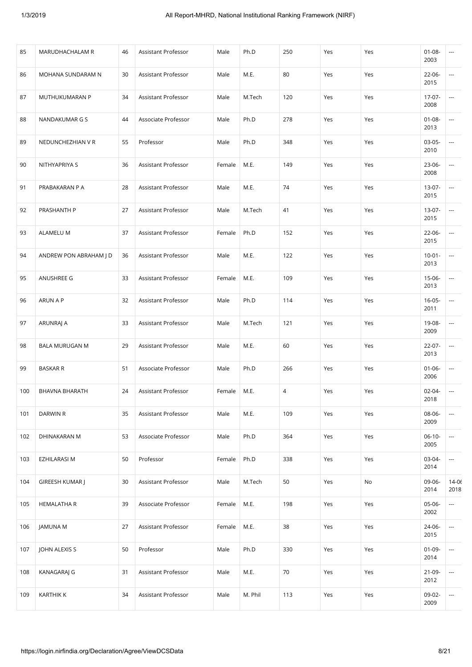| 85  | MARUDHACHALAM R        | 46 | Assistant Professor | Male   | Ph.D    | 250 | Yes | Yes | $01 - 08 -$<br>2003 | ---                      |
|-----|------------------------|----|---------------------|--------|---------|-----|-----|-----|---------------------|--------------------------|
| 86  | MOHANA SUNDARAM N      | 30 | Assistant Professor | Male   | M.E.    | 80  | Yes | Yes | 22-06-<br>2015      | $\overline{\phantom{a}}$ |
| 87  | MUTHUKUMARAN P         | 34 | Assistant Professor | Male   | M.Tech  | 120 | Yes | Yes | 17-07-<br>2008      | ---                      |
| 88  | NANDAKUMAR G S         | 44 | Associate Professor | Male   | Ph.D    | 278 | Yes | Yes | $01 - 08 -$<br>2013 | $\overline{\phantom{a}}$ |
| 89  | NEDUNCHEZHIAN V R      | 55 | Professor           | Male   | Ph.D    | 348 | Yes | Yes | $03-05-$<br>2010    | $\cdots$                 |
| 90  | NITHYAPRIYA S          | 36 | Assistant Professor | Female | M.E.    | 149 | Yes | Yes | 23-06-<br>2008      | ---                      |
| 91  | PRABAKARAN P A         | 28 | Assistant Professor | Male   | M.E.    | 74  | Yes | Yes | 13-07-<br>2015      | $\overline{\phantom{a}}$ |
| 92  | PRASHANTH P            | 27 | Assistant Professor | Male   | M.Tech  | 41  | Yes | Yes | 13-07-<br>2015      | ---                      |
| 93  | ALAMELU M              | 37 | Assistant Professor | Female | Ph.D    | 152 | Yes | Yes | 22-06-<br>2015      | $\overline{\phantom{a}}$ |
| 94  | ANDREW PON ABRAHAM J D | 36 | Assistant Professor | Male   | M.E.    | 122 | Yes | Yes | $10 - 01 -$<br>2013 | ---                      |
| 95  | ANUSHREE G             | 33 | Assistant Professor | Female | M.E.    | 109 | Yes | Yes | 15-06-<br>2013      | $\overline{\phantom{a}}$ |
| 96  | ARUN A P               | 32 | Assistant Professor | Male   | Ph.D    | 114 | Yes | Yes | $16 - 05 -$<br>2011 | ---                      |
| 97  | ARUNRAJ A              | 33 | Assistant Professor | Male   | M.Tech  | 121 | Yes | Yes | 19-08-<br>2009      | ---                      |
| 98  | <b>BALA MURUGAN M</b>  | 29 | Assistant Professor | Male   | M.E.    | 60  | Yes | Yes | 22-07-<br>2013      | $\overline{\phantom{a}}$ |
| 99  | <b>BASKAR R</b>        | 51 | Associate Professor | Male   | Ph.D    | 266 | Yes | Yes | $01 - 06 -$<br>2006 | $\overline{\phantom{a}}$ |
| 100 | BHAVNA BHARATH         | 24 | Assistant Professor | Female | M.E.    | 4   | Yes | Yes | 02-04-<br>2018      | ---                      |
| 101 | DARWIN R               | 35 | Assistant Professor | Male   | M.E.    | 109 | Yes | Yes | 08-06-<br>2009      | $\overline{\phantom{a}}$ |
| 102 | DHINAKARAN M           | 53 | Associate Professor | Male   | Ph.D    | 364 | Yes | Yes | $06-10-$<br>2005    | $\overline{\phantom{a}}$ |
| 103 | <b>EZHILARASI M</b>    | 50 | Professor           | Female | Ph.D    | 338 | Yes | Yes | $03-04-$<br>2014    | $\overline{\phantom{a}}$ |
| 104 | GIREESH KUMAR J        | 30 | Assistant Professor | Male   | M.Tech  | 50  | Yes | No  | 09-06-<br>2014      | $14 - 06$<br>2018        |
| 105 | <b>HEMALATHA R</b>     | 39 | Associate Professor | Female | M.E.    | 198 | Yes | Yes | 05-06-<br>2002      | $\overline{\phantom{a}}$ |
| 106 | JAMUNA M               | 27 | Assistant Professor | Female | M.E.    | 38  | Yes | Yes | 24-06-<br>2015      | $\overline{\phantom{a}}$ |
| 107 | JOHN ALEXIS S          | 50 | Professor           | Male   | Ph.D    | 330 | Yes | Yes | $01 - 09 -$<br>2014 | $\overline{\phantom{a}}$ |
| 108 | KANAGARAJ G            | 31 | Assistant Professor | Male   | M.E.    | 70  | Yes | Yes | $21-09-$<br>2012    | ---                      |
| 109 | <b>KARTHIK K</b>       | 34 | Assistant Professor | Male   | M. Phil | 113 | Yes | Yes | 09-02-<br>2009      | $\overline{\phantom{a}}$ |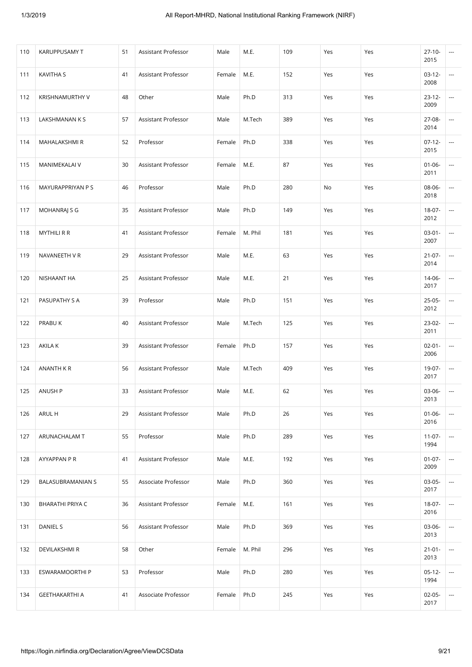| 110 | KARUPPUSAMY T         | 51 | Assistant Professor | Male   | M.E.    | 109 | Yes | Yes | $27-10-$<br>2015    | ---                      |
|-----|-----------------------|----|---------------------|--------|---------|-----|-----|-----|---------------------|--------------------------|
| 111 | <b>KAVITHA S</b>      | 41 | Assistant Professor | Female | M.E.    | 152 | Yes | Yes | $03-12-$<br>2008    | $\overline{\phantom{a}}$ |
| 112 | KRISHNAMURTHY V       | 48 | Other               | Male   | Ph.D    | 313 | Yes | Yes | $23 - 12 -$<br>2009 | ---                      |
| 113 | LAKSHMANAN K S        | 57 | Assistant Professor | Male   | M.Tech  | 389 | Yes | Yes | 27-08-<br>2014      | ---                      |
| 114 | MAHALAKSHMI R         | 52 | Professor           | Female | Ph.D    | 338 | Yes | Yes | $07-12-$<br>2015    | $\overline{\phantom{a}}$ |
| 115 | MANIMEKALAI V         | 30 | Assistant Professor | Female | M.E.    | 87  | Yes | Yes | $01 - 06 -$<br>2011 | $\overline{\phantom{a}}$ |
| 116 | MAYURAPPRIYAN P S     | 46 | Professor           | Male   | Ph.D    | 280 | No  | Yes | 08-06-<br>2018      | ---                      |
| 117 | MOHANRAJ S G          | 35 | Assistant Professor | Male   | Ph.D    | 149 | Yes | Yes | $18-07-$<br>2012    | ---                      |
| 118 | <b>MYTHILI R R</b>    | 41 | Assistant Professor | Female | M. Phil | 181 | Yes | Yes | $03 - 01 -$<br>2007 | $\overline{a}$           |
| 119 | NAVANEETH V R         | 29 | Assistant Professor | Male   | M.E.    | 63  | Yes | Yes | $21-07-$<br>2014    | $\overline{\phantom{a}}$ |
| 120 | NISHAANT HA           | 25 | Assistant Professor | Male   | M.E.    | 21  | Yes | Yes | 14-06-<br>2017      | ---                      |
| 121 | PASUPATHY S A         | 39 | Professor           | Male   | Ph.D    | 151 | Yes | Yes | $25-05-$<br>2012    | ---                      |
| 122 | PRABU K               | 40 | Assistant Professor | Male   | M.Tech  | 125 | Yes | Yes | 23-02-<br>2011      | $\overline{\phantom{a}}$ |
| 123 | AKILA K               | 39 | Assistant Professor | Female | Ph.D    | 157 | Yes | Yes | $02 - 01 -$<br>2006 | $\overline{\phantom{a}}$ |
| 124 | ANANTH K R            | 56 | Assistant Professor | Male   | M.Tech  | 409 | Yes | Yes | 19-07-<br>2017      | ---                      |
| 125 | ANUSH P               | 33 | Assistant Professor | Male   | M.E.    | 62  | Yes | Yes | 03-06-<br>2013      | $\overline{\phantom{a}}$ |
| 126 | ARUL H                | 29 | Assistant Professor | Male   | Ph.D    | 26  | Yes | Yes | $01 - 06 -$<br>2016 | $\overline{\phantom{a}}$ |
| 127 | ARUNACHALAM T         | 55 | Professor           | Male   | Ph.D    | 289 | Yes | Yes | $11-07-$<br>1994    | ---                      |
| 128 | AYYAPPAN P R          | 41 | Assistant Professor | Male   | M.E.    | 192 | Yes | Yes | $01 - 07 -$<br>2009 | ---                      |
| 129 | BALASUBRAMANIAN S     | 55 | Associate Professor | Male   | Ph.D    | 360 | Yes | Yes | $03-05-$<br>2017    | ---                      |
| 130 | BHARATHI PRIYA C      | 36 | Assistant Professor | Female | M.E.    | 161 | Yes | Yes | $18-07-$<br>2016    | ---                      |
| 131 | DANIEL S              | 56 | Assistant Professor | Male   | Ph.D    | 369 | Yes | Yes | 03-06-<br>2013      | $\overline{\phantom{a}}$ |
| 132 | DEVILAKSHMI R         | 58 | Other               | Female | M. Phil | 296 | Yes | Yes | $21 - 01 -$<br>2013 | ---                      |
| 133 | ESWARAMOORTHI P       | 53 | Professor           | Male   | Ph.D    | 280 | Yes | Yes | $05-12-$<br>1994    | ---                      |
| 134 | <b>GEETHAKARTHI A</b> | 41 | Associate Professor | Female | Ph.D    | 245 | Yes | Yes | $02 - 05 -$<br>2017 | ---                      |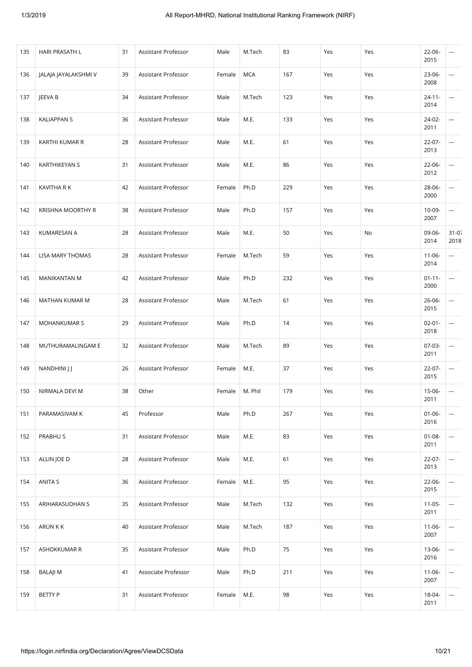| 135 | HARI PRASATH L       | 31 | Assistant Professor | Male   | M.Tech     | 83  | Yes | Yes | 22-06-<br>2015      | $\cdots$                 |
|-----|----------------------|----|---------------------|--------|------------|-----|-----|-----|---------------------|--------------------------|
| 136 | JALAJA JAYALAKSHMI V | 39 | Assistant Professor | Female | <b>MCA</b> | 167 | Yes | Yes | $23 - 06 -$<br>2008 | $\overline{\phantom{a}}$ |
| 137 | JEEVA B              | 34 | Assistant Professor | Male   | M.Tech     | 123 | Yes | Yes | $24 - 11 -$<br>2014 | ---                      |
| 138 | <b>KALIAPPAN S</b>   | 36 | Assistant Professor | Male   | M.E.       | 133 | Yes | Yes | 24-02-<br>2011      | ---                      |
| 139 | KARTHI KUMAR R       | 28 | Assistant Professor | Male   | M.E.       | 61  | Yes | Yes | $22 - 07 -$<br>2013 | $\overline{\phantom{a}}$ |
| 140 | KARTHIKEYAN S        | 31 | Assistant Professor | Male   | M.E.       | 86  | Yes | Yes | 22-06-<br>2012      | $\overline{\phantom{a}}$ |
| 141 | KAVITHA R K          | 42 | Assistant Professor | Female | Ph.D       | 229 | Yes | Yes | 28-06-<br>2000      | ---                      |
| 142 | KRISHNA MOORTHY R    | 38 | Assistant Professor | Male   | Ph.D       | 157 | Yes | Yes | 10-09-<br>2007      | ---                      |
| 143 | KUMARESAN A          | 28 | Assistant Professor | Male   | M.E.       | 50  | Yes | No  | 09-06-<br>2014      | $31 - 07$<br>2018        |
| 144 | LISA MARY THOMAS     | 28 | Assistant Professor | Female | M.Tech     | 59  | Yes | Yes | $11 - 06 -$<br>2014 | $\overline{\phantom{a}}$ |
| 145 | <b>MANIKANTAN M</b>  | 42 | Assistant Professor | Male   | Ph.D       | 232 | Yes | Yes | $01 - 11 -$<br>2000 | $\overline{\phantom{a}}$ |
| 146 | MATHAN KUMAR M       | 28 | Assistant Professor | Male   | M.Tech     | 61  | Yes | Yes | $26 - 06 -$<br>2015 | ---                      |
| 147 | <b>MOHANKUMAR S</b>  | 29 | Assistant Professor | Male   | Ph.D       | 14  | Yes | Yes | $02 - 01 -$<br>2018 | $\overline{\phantom{a}}$ |
| 148 | MUTHURAMALINGAM E    | 32 | Assistant Professor | Male   | M.Tech     | 89  | Yes | Yes | 07-03-<br>2011      | $\overline{\phantom{a}}$ |
| 149 | NANDHINI JJ          | 26 | Assistant Professor | Female | M.E.       | 37  | Yes | Yes | $22 - 07 -$<br>2015 | $\overline{\phantom{a}}$ |
| 150 | NIRMALA DEVI M       | 38 | Other               | Female | M. Phil    | 179 | Yes | Yes | 15-06-<br>2011      | ---                      |
| 151 | PARAMASIVAM K        | 45 | Professor           | Male   | Ph.D       | 267 | Yes | Yes | $01 - 06 -$<br>2016 | $\overline{\phantom{a}}$ |
| 152 | PRABHU S             | 31 | Assistant Professor | Male   | M.E.       | 83  | Yes | Yes | $01 - 08 -$<br>2011 | $\overline{\phantom{a}}$ |
| 153 | ALLIN JOE D          | 28 | Assistant Professor | Male   | M.E.       | 61  | Yes | Yes | $22 - 07 -$<br>2013 | $\overline{\phantom{a}}$ |
| 154 | ANITA S              | 36 | Assistant Professor | Female | M.E.       | 95  | Yes | Yes | $22 - 06 -$<br>2015 | ---                      |
| 155 | ARIHARASUDHAN S      | 35 | Assistant Professor | Male   | M.Tech     | 132 | Yes | Yes | $11-05-$<br>2011    | $\overline{\phantom{a}}$ |
| 156 | ARUN K K             | 40 | Assistant Professor | Male   | M.Tech     | 187 | Yes | Yes | $11 - 06 -$<br>2007 | $\overline{\phantom{a}}$ |
| 157 | ASHOKKUMAR R         | 35 | Assistant Professor | Male   | Ph.D       | 75  | Yes | Yes | 13-06-<br>2016      | $\overline{\phantom{a}}$ |
| 158 | <b>BALAJIM</b>       | 41 | Associate Professor | Male   | Ph.D       | 211 | Yes | Yes | $11 - 06 -$<br>2007 | $\overline{\phantom{a}}$ |
| 159 | <b>BETTY P</b>       | 31 | Assistant Professor | Female | M.E.       | 98  | Yes | Yes | 18-04-<br>2011      | $\overline{\phantom{a}}$ |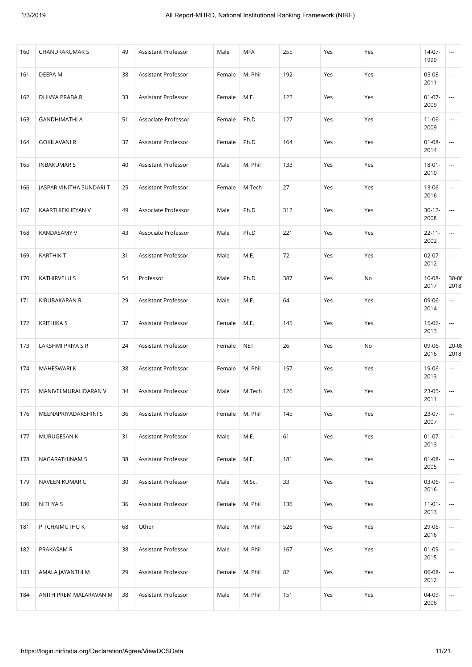| 160 | <b>CHANDRAKUMAR S</b>    | 49 | Assistant Professor | Male   | <b>MFA</b> | 255 | Yes | Yes | $14-07-$<br>1999    | ---                           |
|-----|--------------------------|----|---------------------|--------|------------|-----|-----|-----|---------------------|-------------------------------|
| 161 | DEEPA M                  | 38 | Assistant Professor | Female | M. Phil    | 192 | Yes | Yes | 05-08-<br>2011      | $\overline{\phantom{a}}$      |
| 162 | DHIVYA PRABA R           | 33 | Assistant Professor | Female | M.E.       | 122 | Yes | Yes | $01 - 07 -$<br>2009 | ---                           |
| 163 | <b>GANDHIMATHI A</b>     | 51 | Associate Professor | Female | Ph.D       | 127 | Yes | Yes | $11 - 06 -$<br>2009 | ---                           |
| 164 | <b>GOKILAVANI R</b>      | 37 | Assistant Professor | Female | Ph.D       | 164 | Yes | Yes | $01 - 08 -$<br>2014 | ---                           |
| 165 | <b>INBAKUMAR S</b>       | 40 | Assistant Professor | Male   | M. Phil    | 133 | Yes | Yes | $18 - 01 -$<br>2010 | $\overline{\phantom{a}}$      |
| 166 | JASPAR VINITHA SUNDARI T | 25 | Assistant Professor | Female | M.Tech     | 27  | Yes | Yes | 13-06-<br>2016      | ---                           |
| 167 | KAARTHIEKHEYAN V         | 49 | Associate Professor | Male   | Ph.D       | 312 | Yes | Yes | $30 - 12 -$<br>2008 | $\hspace{1.5cm} \textbf{---}$ |
| 168 | <b>KANDASAMY V</b>       | 43 | Associate Professor | Male   | Ph.D       | 221 | Yes | Yes | $22 - 11 -$<br>2002 | $\overline{\phantom{a}}$      |
| 169 | <b>KARTHIK T</b>         | 31 | Assistant Professor | Male   | M.E.       | 72  | Yes | Yes | $02 - 07 -$<br>2012 | $\overline{\phantom{a}}$      |
| 170 | KATHIRVELU S             | 54 | Professor           | Male   | Ph.D       | 387 | Yes | No  | 10-08-<br>2017      | $30 - 06$<br>2018             |
| 171 | KIRUBAKARAN R            | 29 | Assistant Professor | Male   | M.E.       | 64  | Yes | Yes | 09-06-<br>2014      | ---                           |
| 172 | <b>KRITHIKA S</b>        | 37 | Assistant Professor | Female | M.E.       | 145 | Yes | Yes | 15-06-<br>2013      | $\overline{\phantom{a}}$      |
| 173 | LAKSHMI PRIYA S R        | 24 | Assistant Professor | Female | <b>NET</b> | 26  | Yes | No  | 09-06-<br>2016      | $20 - 08$<br>2018             |
| 174 | MAHESWARI K              | 38 | Assistant Professor | Female | M. Phil    | 157 | Yes | Yes | 19-06-<br>2013      | $\overline{\phantom{a}}$      |
| 175 | MANIVELMURALIDARAN V     | 34 | Assistant Professor | Male   | M.Tech     | 126 | Yes | Yes | 23-05-<br>2011      | ---                           |
| 176 | MEENAPRIYADARSHINI S     | 36 | Assistant Professor | Female | M. Phil    | 145 | Yes | Yes | $23-07-$<br>2007    | $\overline{\phantom{a}}$      |
| 177 | MURUGESAN K              | 31 | Assistant Professor | Male   | M.E.       | 61  | Yes | Yes | $01 - 07 -$<br>2013 | $\overline{\phantom{a}}$      |
| 178 | NAGARATHINAM S           | 38 | Assistant Professor | Female | M.E.       | 181 | Yes | Yes | $01 - 08 -$<br>2005 | $\overline{\phantom{a}}$      |
| 179 | NAVEEN KUMAR C           | 30 | Assistant Professor | Male   | M.Sc.      | 33  | Yes | Yes | 03-06-<br>2016      | ---                           |
| 180 | NITHYA S                 | 36 | Assistant Professor | Female | M. Phil    | 136 | Yes | Yes | $11-01-$<br>2013    | $\overline{\phantom{a}}$      |
| 181 | PITCHAIMUTHU K           | 68 | Other               | Male   | M. Phil    | 526 | Yes | Yes | 29-06-<br>2016      | ---                           |
| 182 | PRAKASAM R               | 38 | Assistant Professor | Male   | M. Phil    | 167 | Yes | Yes | $01-09-$<br>2015    | $\overline{\phantom{a}}$      |
| 183 | AMALA JAYANTHI M         | 29 | Assistant Professor | Female | M. Phil    | 82  | Yes | Yes | 06-08-<br>2012      | ---                           |
| 184 | ANITH PREM MALARAVAN M   | 38 | Assistant Professor | Male   | M. Phil    | 151 | Yes | Yes | 04-09-<br>2006      | $\overline{\phantom{a}}$      |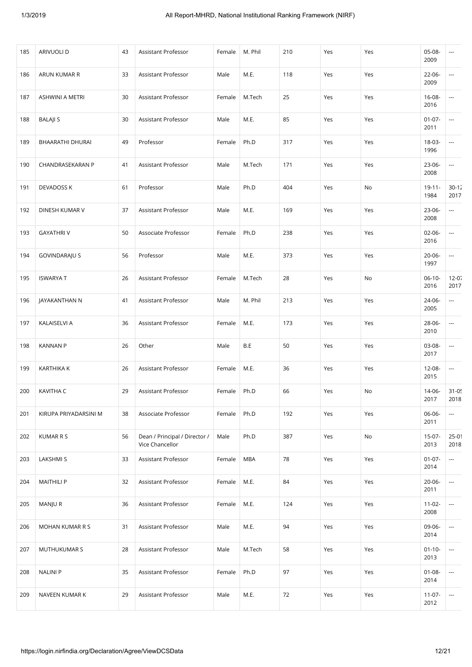| 185 | ARIVUOLI D            | 43 | Assistant Professor                              | Female | M. Phil    | 210 | Yes | Yes | 05-08-<br>2009      | ---                           |
|-----|-----------------------|----|--------------------------------------------------|--------|------------|-----|-----|-----|---------------------|-------------------------------|
| 186 | ARUN KUMAR R          | 33 | Assistant Professor                              | Male   | M.E.       | 118 | Yes | Yes | 22-06-<br>2009      | ---                           |
| 187 | ASHWINI A METRI       | 30 | Assistant Professor                              | Female | M.Tech     | 25  | Yes | Yes | 16-08-<br>2016      | $\overline{\phantom{a}}$      |
| 188 | <b>BALAJI S</b>       | 30 | Assistant Professor                              | Male   | M.E.       | 85  | Yes | Yes | $01-07-$<br>2011    | $\overline{\phantom{a}}$      |
| 189 | BHAARATHI DHURAI      | 49 | Professor                                        | Female | Ph.D       | 317 | Yes | Yes | 18-03-<br>1996      | ---                           |
| 190 | CHANDRASEKARAN P      | 41 | Assistant Professor                              | Male   | M.Tech     | 171 | Yes | Yes | 23-06-<br>2008      | $\overline{a}$                |
| 191 | <b>DEVADOSS K</b>     | 61 | Professor                                        | Male   | Ph.D       | 404 | Yes | No  | $19 - 11 -$<br>1984 | $30 - 12$<br>2017             |
| 192 | DINESH KUMAR V        | 37 | Assistant Professor                              | Male   | M.E.       | 169 | Yes | Yes | 23-06-<br>2008      | $\overline{\phantom{a}}$      |
| 193 | <b>GAYATHRIV</b>      | 50 | Associate Professor                              | Female | Ph.D       | 238 | Yes | Yes | $02 - 06 -$<br>2016 | $\overline{\phantom{a}}$      |
| 194 | <b>GOVINDARAJU S</b>  | 56 | Professor                                        | Male   | M.E.       | 373 | Yes | Yes | $20 - 06 -$<br>1997 | $\overline{a}$                |
| 195 | <b>ISWARYAT</b>       | 26 | Assistant Professor                              | Female | M.Tech     | 28  | Yes | No  | $06-10-$<br>2016    | $12 - 07$<br>2017             |
| 196 | JAYAKANTHAN N         | 41 | Assistant Professor                              | Male   | M. Phil    | 213 | Yes | Yes | 24-06-<br>2005      | $\overline{\phantom{a}}$      |
| 197 | KALAISELVI A          | 36 | Assistant Professor                              | Female | M.E.       | 173 | Yes | Yes | 28-06-<br>2010      | $\overline{\phantom{a}}$      |
| 198 | <b>KANNAN P</b>       | 26 | Other                                            | Male   | B.E        | 50  | Yes | Yes | 03-08-<br>2017      | $\overline{\phantom{a}}$      |
| 199 | <b>KARTHIKA K</b>     | 26 | Assistant Professor                              | Female | M.E.       | 36  | Yes | Yes | $12 - 08 -$<br>2015 | $\overline{\phantom{a}}$      |
| 200 | KAVITHA C             | 29 | Assistant Professor                              | Female | Ph.D       | 66  | Yes | No  | 14-06-<br>2017      | $31 - 0!$<br>2018             |
| 201 | KIRUPA PRIYADARSINI M | 38 | Associate Professor                              | Female | Ph.D       | 192 | Yes | Yes | 06-06-<br>2011      | $\overline{\phantom{a}}$      |
| 202 | <b>KUMAR R S</b>      | 56 | Dean / Principal / Director /<br>Vice Chancellor | Male   | Ph.D       | 387 | Yes | No  | $15-07-$<br>2013    | 25-01<br>2018                 |
| 203 | LAKSHMI S             | 33 | Assistant Professor                              | Female | <b>MBA</b> | 78  | Yes | Yes | $01 - 07 -$<br>2014 | $\overline{\phantom{a}}$      |
| 204 | <b>MAITHILI P</b>     | 32 | Assistant Professor                              | Female | M.E.       | 84  | Yes | Yes | 20-06-<br>2011      | $\hspace{1.5cm} \textbf{---}$ |
| 205 | MANJU R               | 36 | Assistant Professor                              | Female | M.E.       | 124 | Yes | Yes | $11-02-$<br>2008    | $\overline{\phantom{a}}$      |
| 206 | MOHAN KUMAR R S       | 31 | Assistant Professor                              | Male   | M.E.       | 94  | Yes | Yes | 09-06-<br>2014      | $\overline{\phantom{a}}$      |
| 207 | MUTHUKUMAR S          | 28 | Assistant Professor                              | Male   | M.Tech     | 58  | Yes | Yes | $01 - 10 -$<br>2013 | $\overline{\phantom{a}}$      |
| 208 | <b>NALINI P</b>       | 35 | Assistant Professor                              | Female | Ph.D       | 97  | Yes | Yes | $01 - 08 -$<br>2014 | ---                           |
| 209 | NAVEEN KUMAR K        | 29 | Assistant Professor                              | Male   | M.E.       | 72  | Yes | Yes | $11 - 07 -$<br>2012 | ---                           |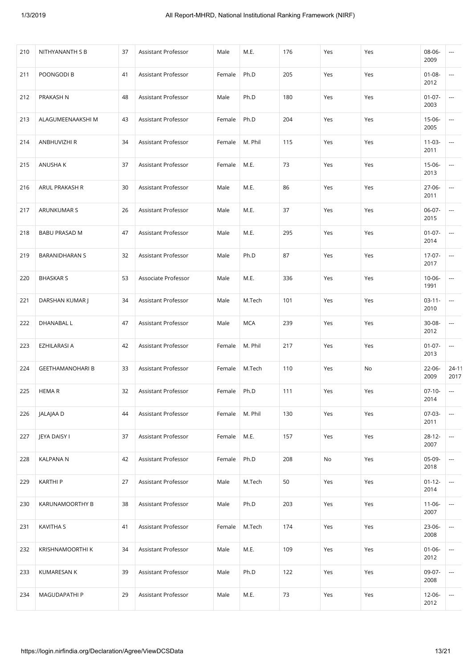| 210 | NITHYANANTH S B         | 37 | Assistant Professor | Male   | M.E.       | 176 | Yes | Yes | 08-06-<br>2009      | ---                           |
|-----|-------------------------|----|---------------------|--------|------------|-----|-----|-----|---------------------|-------------------------------|
| 211 | POONGODI B              | 41 | Assistant Professor | Female | Ph.D       | 205 | Yes | Yes | $01 - 08 -$<br>2012 | $\overline{\phantom{a}}$      |
| 212 | PRAKASH N               | 48 | Assistant Professor | Male   | Ph.D       | 180 | Yes | Yes | $01 - 07 -$<br>2003 | ---                           |
| 213 | ALAGUMEENAAKSHI M       | 43 | Assistant Professor | Female | Ph.D       | 204 | Yes | Yes | 15-06-<br>2005      | $\hspace{1.5cm} \textbf{---}$ |
| 214 | ANBHUVIZHI R            | 34 | Assistant Professor | Female | M. Phil    | 115 | Yes | Yes | $11 - 03 -$<br>2011 | ---                           |
| 215 | ANUSHA K                | 37 | Assistant Professor | Female | M.E.       | 73  | Yes | Yes | 15-06-<br>2013      | $\overline{\phantom{a}}$      |
| 216 | ARUL PRAKASH R          | 30 | Assistant Professor | Male   | M.E.       | 86  | Yes | Yes | $27-06-$<br>2011    | $\overline{\phantom{a}}$      |
| 217 | ARUNKUMAR S             | 26 | Assistant Professor | Male   | M.E.       | 37  | Yes | Yes | $06-07-$<br>2015    | ---                           |
| 218 | <b>BABU PRASAD M</b>    | 47 | Assistant Professor | Male   | M.E.       | 295 | Yes | Yes | $01-07-$<br>2014    | $\overline{\phantom{a}}$      |
| 219 | <b>BARANIDHARAN S</b>   | 32 | Assistant Professor | Male   | Ph.D       | 87  | Yes | Yes | $17-07-$<br>2017    | ---                           |
| 220 | <b>BHASKAR S</b>        | 53 | Associate Professor | Male   | M.E.       | 336 | Yes | Yes | $10 - 06 -$<br>1991 | ---                           |
| 221 | DARSHAN KUMAR J         | 34 | Assistant Professor | Male   | M.Tech     | 101 | Yes | Yes | $03-11-$<br>2010    | ---                           |
| 222 | DHANABAL L              | 47 | Assistant Professor | Male   | <b>MCA</b> | 239 | Yes | Yes | 30-08-<br>2012      | $\overline{\phantom{a}}$      |
| 223 | EZHILARASI A            | 42 | Assistant Professor | Female | M. Phil    | 217 | Yes | Yes | $01 - 07 -$<br>2013 | $\overline{\phantom{a}}$      |
| 224 | <b>GEETHAMANOHARI B</b> | 33 | Assistant Professor | Female | M.Tech     | 110 | Yes | No  | 22-06-<br>2009      | 24-11<br>2017                 |
| 225 | <b>HEMAR</b>            | 32 | Assistant Professor | Female | Ph.D       | 111 | Yes | Yes | $07-10-$<br>2014    | $\cdots$                      |
| 226 | JALAJAA D               | 44 | Assistant Professor | Female | M. Phil    | 130 | Yes | Yes | $07-03-$<br>2011    | $\overline{\phantom{a}}$      |
| 227 | JEYA DAISY I            | 37 | Assistant Professor | Female | M.E.       | 157 | Yes | Yes | $28-12-$<br>2007    | $\overline{\phantom{a}}$      |
| 228 | <b>KALPANA N</b>        | 42 | Assistant Professor | Female | Ph.D       | 208 | No  | Yes | 05-09-<br>2018      | $\overline{\phantom{a}}$      |
| 229 | <b>KARTHI P</b>         | 27 | Assistant Professor | Male   | M.Tech     | 50  | Yes | Yes | $01 - 12 -$<br>2014 | $\overline{\phantom{a}}$      |
| 230 | KARUNAMOORTHY B         | 38 | Assistant Professor | Male   | Ph.D       | 203 | Yes | Yes | $11-06-$<br>2007    | $\overline{\phantom{a}}$      |
| 231 | <b>KAVITHA S</b>        | 41 | Assistant Professor | Female | M.Tech     | 174 | Yes | Yes | $23-06-$<br>2008    | $\overline{\phantom{a}}$      |
| 232 | KRISHNAMOORTHI K        | 34 | Assistant Professor | Male   | M.E.       | 109 | Yes | Yes | $01 - 06 -$<br>2012 | $\overline{\phantom{a}}$      |
| 233 | KUMARESAN K             | 39 | Assistant Professor | Male   | Ph.D       | 122 | Yes | Yes | 09-07-<br>2008      | ---                           |
| 234 | MAGUDAPATHI P           | 29 | Assistant Professor | Male   | M.E.       | 73  | Yes | Yes | 12-06-<br>2012      | $\overline{\phantom{a}}$      |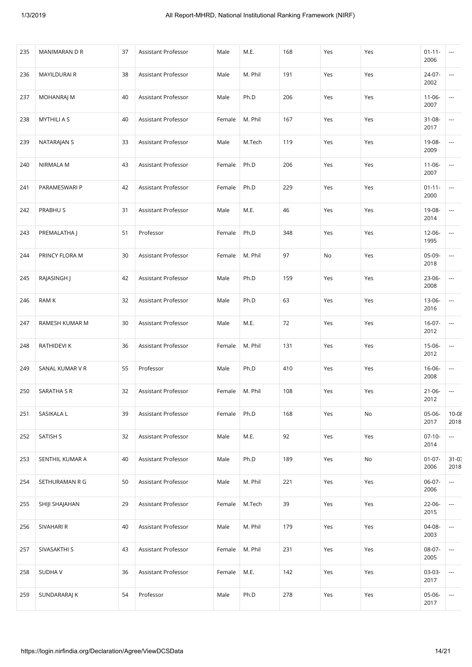| 235 | MANIMARAN D R       | 37 | Assistant Professor | Male   | M.E.    | 168 | Yes | Yes | $01 - 11 -$<br>2006 | ---                           |
|-----|---------------------|----|---------------------|--------|---------|-----|-----|-----|---------------------|-------------------------------|
| 236 | <b>MAYILDURAI R</b> | 38 | Assistant Professor | Male   | M. Phil | 191 | Yes | Yes | 24-07-<br>2002      | $\overline{\phantom{a}}$      |
| 237 | <b>MOHANRAJ M</b>   | 40 | Assistant Professor | Male   | Ph.D    | 206 | Yes | Yes | $11 - 06 -$<br>2007 | ---                           |
| 238 | <b>MYTHILI A S</b>  | 40 | Assistant Professor | Female | M. Phil | 167 | Yes | Yes | $31 - 08 -$<br>2017 | ---                           |
| 239 | NATARAJAN S         | 33 | Assistant Professor | Male   | M.Tech  | 119 | Yes | Yes | 19-08-<br>2009      | ---                           |
| 240 | NIRMALA M           | 43 | Assistant Professor | Female | Ph.D    | 206 | Yes | Yes | $11-06-$<br>2007    | $\overline{\phantom{a}}$      |
| 241 | PARAMESWARI P       | 42 | Assistant Professor | Female | Ph.D    | 229 | Yes | Yes | $01 - 11 -$<br>2000 | ---                           |
| 242 | PRABHU S            | 31 | Assistant Professor | Male   | M.E.    | 46  | Yes | Yes | 19-08-<br>2014      | $\hspace{1.5cm} \textbf{---}$ |
| 243 | PREMALATHA J        | 51 | Professor           | Female | Ph.D    | 348 | Yes | Yes | $12 - 06 -$<br>1995 | $\overline{\phantom{a}}$      |
| 244 | PRINCY FLORA M      | 30 | Assistant Professor | Female | M. Phil | 97  | No  | Yes | 05-09-<br>2018      | ---                           |
| 245 | RAJASINGH J         | 42 | Assistant Professor | Male   | Ph.D    | 159 | Yes | Yes | 23-06-<br>2008      | $\overline{\phantom{a}}$      |
| 246 | <b>RAM K</b>        | 32 | Assistant Professor | Male   | Ph.D    | 63  | Yes | Yes | 13-06-<br>2016      | ---                           |
| 247 | RAMESH KUMAR M      | 30 | Assistant Professor | Male   | M.E.    | 72  | Yes | Yes | $16-07-$<br>2012    | $\overline{\phantom{a}}$      |
| 248 | RATHIDEVI K         | 36 | Assistant Professor | Female | M. Phil | 131 | Yes | Yes | 15-06-<br>2012      | $\overline{\phantom{a}}$      |
| 249 | SANAL KUMAR V R     | 55 | Professor           | Male   | Ph.D    | 410 | Yes | Yes | $16 - 06 -$<br>2008 | $\overline{\phantom{a}}$      |
| 250 | SARATHA S R         | 32 | Assistant Professor | Female | M. Phil | 108 | Yes | Yes | $21 - 06 -$<br>2012 | ---                           |
| 251 | SASIKALA L          | 39 | Assistant Professor | Female | Ph.D    | 168 | Yes | No  | 05-06-<br>2017      | $10 - 08$<br>2018             |
| 252 | SATISH S            | 32 | Assistant Professor | Male   | M.E.    | 92  | Yes | Yes | $07-10-$<br>2014    | $\hspace{0.05cm} \ldots$      |
| 253 | SENTHIL KUMAR A     | 40 | Assistant Professor | Male   | Ph.D    | 189 | Yes | No  | $01 - 07 -$<br>2006 | $31 - 0.5$<br>2018            |
| 254 | SETHURAMAN R G      | 50 | Assistant Professor | Male   | M. Phil | 221 | Yes | Yes | 06-07-<br>2006      | $\sim$ $\sim$                 |
| 255 | SHIJI SHAJAHAN      | 29 | Assistant Professor | Female | M.Tech  | 39  | Yes | Yes | $22 - 06 -$<br>2015 | $\overline{\phantom{a}}$      |
| 256 | SIVAHARI R          | 40 | Assistant Professor | Male   | M. Phil | 179 | Yes | Yes | 04-08-<br>2003      | $\overline{\phantom{a}}$      |
| 257 | SIVASAKTHI S        | 43 | Assistant Professor | Female | M. Phil | 231 | Yes | Yes | 08-07-<br>2005      | $\overline{\phantom{a}}$      |
| 258 | <b>SUDHAV</b>       | 36 | Assistant Professor | Female | M.E.    | 142 | Yes | Yes | 03-03-<br>2017      | $\overline{\phantom{a}}$      |
| 259 | SUNDARARAJ K        | 54 | Professor           | Male   | Ph.D    | 278 | Yes | Yes | 05-06-<br>2017      | ---                           |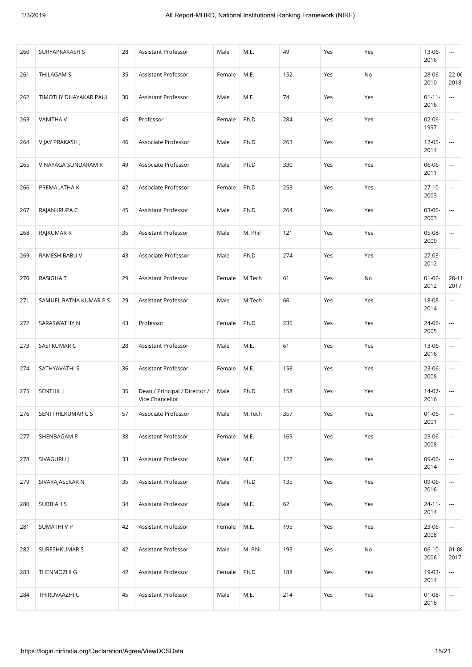| 260 | SURYAPRAKASH S         | 28 | Assistant Professor                              | Male   | M.E.    | 49  | Yes | Yes | 13-06-<br>2016      | $\overline{\phantom{a}}$ |
|-----|------------------------|----|--------------------------------------------------|--------|---------|-----|-----|-----|---------------------|--------------------------|
| 261 | THILAGAM S             | 35 | Assistant Professor                              | Female | M.E.    | 152 | Yes | No  | 28-06-<br>2010      | $22 - 06$<br>2018        |
| 262 | TIMOTHY DHAYAKAR PAUL  | 30 | Assistant Professor                              | Male   | M.E.    | 74  | Yes | Yes | $01 - 11 -$<br>2016 | $\cdots$                 |
| 263 | <b>VANITHA V</b>       | 45 | Professor                                        | Female | Ph.D    | 284 | Yes | Yes | $02 - 06 -$<br>1997 | ---                      |
| 264 | VIJAY PRAKASH J        | 46 | Associate Professor                              | Male   | Ph.D    | 263 | Yes | Yes | $12 - 05 -$<br>2014 | $\overline{\phantom{a}}$ |
| 265 | VINAYAGA SUNDARAM R    | 49 | Associate Professor                              | Male   | Ph.D    | 330 | Yes | Yes | 06-06-<br>2011      | $\overline{\phantom{a}}$ |
| 266 | PREMALATHA K           | 42 | Associate Professor                              | Female | Ph.D    | 253 | Yes | Yes | $27-10-$<br>2003    | ---                      |
| 267 | RAJANKRUPA C           | 45 | Assistant Professor                              | Male   | Ph.D    | 264 | Yes | Yes | 03-06-<br>2003      | ---                      |
| 268 | RAJKUMAR R             | 35 | Assistant Professor                              | Male   | M. Phil | 121 | Yes | Yes | 05-08-<br>2009      | $\overline{\phantom{a}}$ |
| 269 | RAMESH BABU V          | 43 | Associate Professor                              | Male   | Ph.D    | 274 | Yes | Yes | $27-03-$<br>2012    | $\overline{\phantom{a}}$ |
| 270 | <b>RASIGHAT</b>        | 29 | Assistant Professor                              | Female | M.Tech  | 61  | Yes | No  | $01 - 06 -$<br>2012 | 28-11<br>2017            |
| 271 | SAMUEL RATNA KUMAR P S | 29 | Assistant Professor                              | Male   | M.Tech  | 66  | Yes | Yes | 18-08-<br>2014      | ---                      |
| 272 | SARASWATHY N           | 43 | Professor                                        | Female | Ph.D    | 235 | Yes | Yes | 24-06-<br>2005      | $\overline{\phantom{a}}$ |
| 273 | SASI KUMAR C           | 28 | Assistant Professor                              | Male   | M.E.    | 61  | Yes | Yes | 13-06-<br>2016      | $\overline{\phantom{a}}$ |
| 274 | SATHYAVATHI S          | 36 | Assistant Professor                              | Female | M.E.    | 158 | Yes | Yes | $23-06-$<br>2008    | $\overline{\phantom{a}}$ |
| 275 | SENTHIL J              | 35 | Dean / Principal / Director /<br>Vice Chancellor | Male   | Ph.D    | 158 | Yes | Yes | 14-07-<br>2016      | $\overline{\phantom{a}}$ |
| 276 | SENTTHILKUMAR C S      | 57 | Associate Professor                              | Male   | M.Tech  | 357 | Yes | Yes | $01 - 06 -$<br>2001 | $\overline{\phantom{a}}$ |
| 277 | SHENBAGAM P            | 38 | Assistant Professor                              | Female | M.E.    | 169 | Yes | Yes | 23-06-<br>2008      | $\overline{\phantom{a}}$ |
| 278 | SIVAGURU J             | 33 | Assistant Professor                              | Male   | M.E.    | 122 | Yes | Yes | 09-06-<br>2014      | $\overline{\phantom{a}}$ |
| 279 | SIVARAJASEKAR N        | 35 | Assistant Professor                              | Male   | Ph.D    | 135 | Yes | Yes | 09-06-<br>2016      | ---                      |
| 280 | SUBBIAH S              | 34 | Assistant Professor                              | Male   | M.E.    | 62  | Yes | Yes | $24 - 11 -$<br>2014 | $\overline{\phantom{a}}$ |
| 281 | SUMATHIVP              | 42 | Assistant Professor                              | Female | M.E.    | 195 | Yes | Yes | 23-06-<br>2008      | $\overline{\phantom{a}}$ |
| 282 | SURESHKUMAR S          | 42 | Assistant Professor                              | Male   | M. Phil | 193 | Yes | No  | $06-10-$<br>2006    | $01 - 08$<br>2017        |
| 283 | THENMOZHI G            | 42 | Assistant Professor                              | Female | Ph.D    | 188 | Yes | Yes | 19-03-<br>2014      | $\overline{\phantom{a}}$ |
| 284 | THIRUVAAZHI U          | 45 | Assistant Professor                              | Male   | M.E.    | 214 | Yes | Yes | $01 - 08 -$<br>2016 | $\overline{\phantom{a}}$ |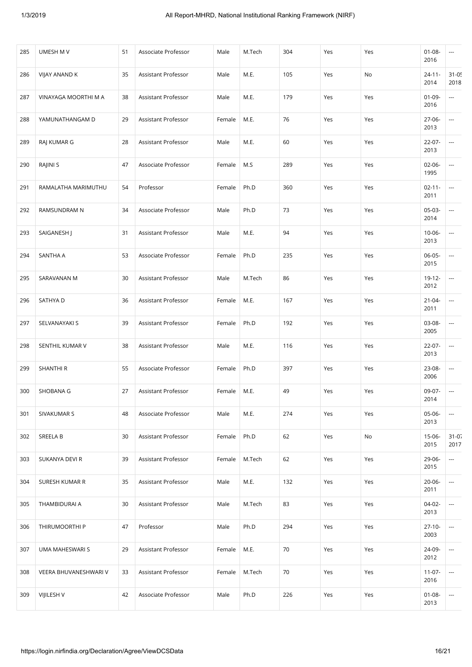| 285 | UMESH M V             | 51 | Associate Professor | Male   | M.Tech | 304 | Yes | Yes | $01 - 08 -$<br>2016 | $\cdots$                      |
|-----|-----------------------|----|---------------------|--------|--------|-----|-----|-----|---------------------|-------------------------------|
| 286 | VIJAY ANAND K         | 35 | Assistant Professor | Male   | M.E.   | 105 | Yes | No  | $24 - 11 -$<br>2014 | $31 - 05$<br>2018             |
| 287 | VINAYAGA MOORTHI M A  | 38 | Assistant Professor | Male   | M.E.   | 179 | Yes | Yes | $01-09-$<br>2016    | ---                           |
| 288 | YAMUNATHANGAM D       | 29 | Assistant Professor | Female | M.E.   | 76  | Yes | Yes | $27-06-$<br>2013    | ---                           |
| 289 | RAJ KUMAR G           | 28 | Assistant Professor | Male   | M.E.   | 60  | Yes | Yes | $22 - 07 -$<br>2013 | $\overline{\phantom{a}}$      |
| 290 | RAJINI S              | 47 | Associate Professor | Female | M.S    | 289 | Yes | Yes | $02 - 06 -$<br>1995 | $\overline{\phantom{a}}$      |
| 291 | RAMALATHA MARIMUTHU   | 54 | Professor           | Female | Ph.D   | 360 | Yes | Yes | $02 - 11 -$<br>2011 | ---                           |
| 292 | RAMSUNDRAM N          | 34 | Associate Professor | Male   | Ph.D   | 73  | Yes | Yes | $05-03-$<br>2014    | $\hspace{1.5cm} \textbf{---}$ |
| 293 | SAIGANESH J           | 31 | Assistant Professor | Male   | M.E.   | 94  | Yes | Yes | $10 - 06 -$<br>2013 | $\overline{\phantom{a}}$      |
| 294 | SANTHA A              | 53 | Associate Professor | Female | Ph.D   | 235 | Yes | Yes | 06-05-<br>2015      | ---                           |
| 295 | SARAVANAN M           | 30 | Assistant Professor | Male   | M.Tech | 86  | Yes | Yes | $19 - 12 -$<br>2012 | ---                           |
| 296 | SATHYA D              | 36 | Assistant Professor | Female | M.E.   | 167 | Yes | Yes | $21 - 04 -$<br>2011 | ---                           |
| 297 | SELVANAYAKI S         | 39 | Assistant Professor | Female | Ph.D   | 192 | Yes | Yes | 03-08-<br>2005      | $\overline{\phantom{a}}$      |
| 298 | SENTHIL KUMAR V       | 38 | Assistant Professor | Male   | M.E.   | 116 | Yes | Yes | $22 - 07 -$<br>2013 | $\overline{\phantom{a}}$      |
| 299 | SHANTHI R             | 55 | Associate Professor | Female | Ph.D   | 397 | Yes | Yes | 23-08-<br>2006      | $\overline{\phantom{a}}$      |
| 300 | SHOBANA G             | 27 | Assistant Professor | Female | M.E.   | 49  | Yes | Yes | 09-07-<br>2014      | $\overline{\phantom{a}}$      |
| 301 | SIVAKUMAR S           | 48 | Associate Professor | Male   | M.E.   | 274 | Yes | Yes | $05-06-$<br>2013    | $\overline{\phantom{a}}$      |
| 302 | SREELA B              | 30 | Assistant Professor | Female | Ph.D   | 62  | Yes | No  | 15-06-<br>2015      | $31 - 07$<br>2017             |
| 303 | SUKANYA DEVI R        | 39 | Assistant Professor | Female | M.Tech | 62  | Yes | Yes | 29-06-<br>2015      | $\overline{\phantom{a}}$      |
| 304 | SURESH KUMAR R        | 35 | Assistant Professor | Male   | M.E.   | 132 | Yes | Yes | $20 - 06 -$<br>2011 | ---                           |
| 305 | THAMBIDURAI A         | 30 | Assistant Professor | Male   | M.Tech | 83  | Yes | Yes | 04-02-<br>2013      | $\overline{\phantom{a}}$      |
| 306 | THIRUMOORTHI P        | 47 | Professor           | Male   | Ph.D   | 294 | Yes | Yes | $27-10-$<br>2003    | ---                           |
| 307 | UMA MAHESWARI S       | 29 | Assistant Professor | Female | M.E.   | 70  | Yes | Yes | 24-09-<br>2012      | $\overline{\phantom{a}}$      |
| 308 | VEERA BHUVANESHWARI V | 33 | Assistant Professor | Female | M.Tech | 70  | Yes | Yes | $11 - 07 -$<br>2016 | ---                           |
| 309 | VIJILESH V            | 42 | Associate Professor | Male   | Ph.D   | 226 | Yes | Yes | $01 - 08 -$<br>2013 | ---                           |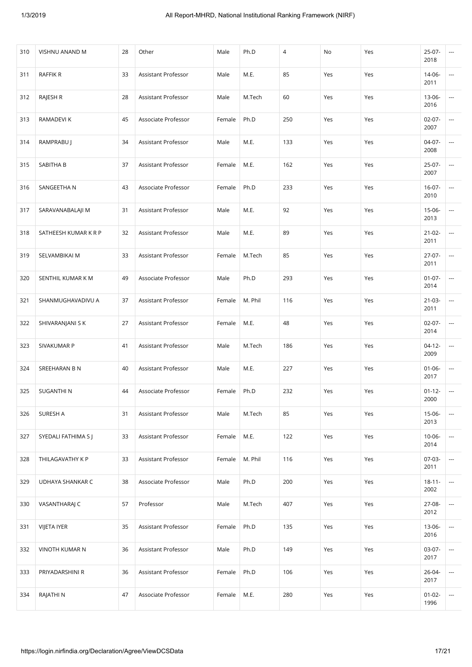| 310 | VISHNU ANAND M       | 28 | Other               | Male   | Ph.D    | 4   | No  | Yes | $25-07-$<br>2018    | ---                      |
|-----|----------------------|----|---------------------|--------|---------|-----|-----|-----|---------------------|--------------------------|
| 311 | RAFFIK R             | 33 | Assistant Professor | Male   | M.E.    | 85  | Yes | Yes | 14-06-<br>2011      | $\overline{\phantom{a}}$ |
| 312 | RAJESH R             | 28 | Assistant Professor | Male   | M.Tech  | 60  | Yes | Yes | 13-06-<br>2016      | $\overline{\phantom{a}}$ |
| 313 | RAMADEVI K           | 45 | Associate Professor | Female | Ph.D    | 250 | Yes | Yes | $02-07-$<br>2007    | $\overline{\phantom{a}}$ |
| 314 | RAMPRABU J           | 34 | Assistant Professor | Male   | M.E.    | 133 | Yes | Yes | $04-07-$<br>2008    | $\overline{\phantom{a}}$ |
| 315 | SABITHA B            | 37 | Assistant Professor | Female | M.E.    | 162 | Yes | Yes | $25-07-$<br>2007    | $\overline{\phantom{a}}$ |
| 316 | SANGEETHA N          | 43 | Associate Professor | Female | Ph.D    | 233 | Yes | Yes | $16-07-$<br>2010    | $\overline{\phantom{a}}$ |
| 317 | SARAVANABALAJI M     | 31 | Assistant Professor | Male   | M.E.    | 92  | Yes | Yes | $15-06-$<br>2013    | $\overline{\phantom{a}}$ |
| 318 | SATHEESH KUMAR K R P | 32 | Assistant Professor | Male   | M.E.    | 89  | Yes | Yes | $21 - 02 -$<br>2011 | $\overline{\phantom{a}}$ |
| 319 | SELVAMBIKAI M        | 33 | Assistant Professor | Female | M.Tech  | 85  | Yes | Yes | $27-07-$<br>2011    | $\overline{\phantom{a}}$ |
| 320 | SENTHIL KUMAR K M    | 49 | Associate Professor | Male   | Ph.D    | 293 | Yes | Yes | $01 - 07 -$<br>2014 | $\overline{\phantom{a}}$ |
| 321 | SHANMUGHAVADIVU A    | 37 | Assistant Professor | Female | M. Phil | 116 | Yes | Yes | $21 - 03 -$<br>2011 | ---                      |
| 322 | SHIVARANJANI S K     | 27 | Assistant Professor | Female | M.E.    | 48  | Yes | Yes | $02-07-$<br>2014    | $\overline{\phantom{a}}$ |
| 323 | SIVAKUMAR P          | 41 | Assistant Professor | Male   | M.Tech  | 186 | Yes | Yes | $04-12-$<br>2009    | $\overline{\phantom{a}}$ |
| 324 | SREEHARAN B N        | 40 | Assistant Professor | Male   | M.E.    | 227 | Yes | Yes | $01 - 06 -$<br>2017 | ---                      |
| 325 | <b>SUGANTHIN</b>     | 44 | Associate Professor | Female | Ph.D    | 232 | Yes | Yes | $01 - 12 -$<br>2000 | ---                      |
| 326 | SURESH A             | 31 | Assistant Professor | Male   | M.Tech  | 85  | Yes | Yes | $15 - 06 -$<br>2013 | ---                      |
| 327 | SYEDALI FATHIMA S J  | 33 | Assistant Professor | Female | M.E.    | 122 | Yes | Yes | $10 - 06 -$<br>2014 | ---                      |
| 328 | THILAGAVATHY K P     | 33 | Assistant Professor | Female | M. Phil | 116 | Yes | Yes | 07-03-<br>2011      | ---                      |
| 329 | UDHAYA SHANKAR C     | 38 | Associate Professor | Male   | Ph.D    | 200 | Yes | Yes | $18 - 11 -$<br>2002 | ---                      |
| 330 | VASANTHARAJ C        | 57 | Professor           | Male   | M.Tech  | 407 | Yes | Yes | 27-08-<br>2012      | ---                      |
| 331 | <b>VIJETA IYER</b>   | 35 | Assistant Professor | Female | Ph.D    | 135 | Yes | Yes | $13 - 06 -$<br>2016 | ---                      |
| 332 | VINOTH KUMAR N       | 36 | Assistant Professor | Male   | Ph.D    | 149 | Yes | Yes | 03-07-<br>2017      | ---                      |
| 333 | PRIYADARSHINI R      | 36 | Assistant Professor | Female | Ph.D    | 106 | Yes | Yes | 26-04-<br>2017      | ---                      |
| 334 | RAJATHI N            | 47 | Associate Professor | Female | M.E.    | 280 | Yes | Yes | $01 - 02 -$<br>1996 | ---                      |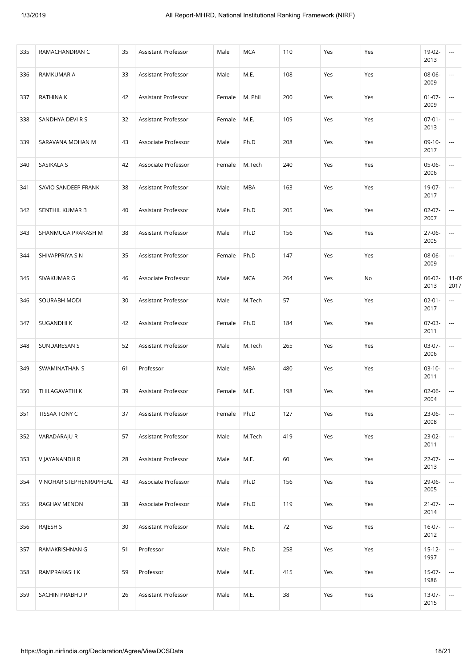| 335 | RAMACHANDRAN C         | 35 | Assistant Professor | Male   | MCA        | 110 | Yes | Yes | 19-02-<br>2013      | ---                      |
|-----|------------------------|----|---------------------|--------|------------|-----|-----|-----|---------------------|--------------------------|
| 336 | RAMKUMAR A             | 33 | Assistant Professor | Male   | M.E.       | 108 | Yes | Yes | 08-06-<br>2009      | ---                      |
| 337 | RATHINA K              | 42 | Assistant Professor | Female | M. Phil    | 200 | Yes | Yes | $01 - 07 -$<br>2009 | ---                      |
| 338 | SANDHYA DEVI R S       | 32 | Assistant Professor | Female | M.E.       | 109 | Yes | Yes | $07-01-$<br>2013    | ---                      |
| 339 | SARAVANA MOHAN M       | 43 | Associate Professor | Male   | Ph.D       | 208 | Yes | Yes | $09-10-$<br>2017    | ---                      |
| 340 | SASIKALA S             | 42 | Associate Professor | Female | M.Tech     | 240 | Yes | Yes | 05-06-<br>2006      | ---                      |
| 341 | SAVIO SANDEEP FRANK    | 38 | Assistant Professor | Male   | <b>MBA</b> | 163 | Yes | Yes | 19-07-<br>2017      | $\overline{\phantom{a}}$ |
| 342 | SENTHIL KUMAR B        | 40 | Assistant Professor | Male   | Ph.D       | 205 | Yes | Yes | $02 - 07 -$<br>2007 | ---                      |
| 343 | SHANMUGA PRAKASH M     | 38 | Assistant Professor | Male   | Ph.D       | 156 | Yes | Yes | 27-06-<br>2005      | ---                      |
| 344 | SHIVAPPRIYA S N        | 35 | Assistant Professor | Female | Ph.D       | 147 | Yes | Yes | 08-06-<br>2009      | ---                      |
| 345 | SIVAKUMAR G            | 46 | Associate Professor | Male   | <b>MCA</b> | 264 | Yes | No  | 06-02-<br>2013      | $11 - 09$<br>2017        |
| 346 | SOURABH MODI           | 30 | Assistant Professor | Male   | M.Tech     | 57  | Yes | Yes | $02 - 01 -$<br>2017 | ---                      |
| 347 | SUGANDHI K             | 42 | Assistant Professor | Female | Ph.D       | 184 | Yes | Yes | $07-03-$<br>2011    | ---                      |
| 348 | SUNDARESAN S           | 52 | Assistant Professor | Male   | M.Tech     | 265 | Yes | Yes | 03-07-<br>2006      | $\overline{\phantom{a}}$ |
| 349 | SWAMINATHAN S          | 61 | Professor           | Male   | <b>MBA</b> | 480 | Yes | Yes | $03-10-$<br>2011    | ---                      |
| 350 | THILAGAVATHI K         | 39 | Assistant Professor | Female | M.E.       | 198 | Yes | Yes | 02-06-<br>2004      | ---                      |
| 351 | TISSAA TONY C          | 37 | Assistant Professor | Female | Ph.D       | 127 | Yes | Yes | 23-06-<br>2008      | $\overline{\phantom{a}}$ |
| 352 | VARADARAJU R           | 57 | Assistant Professor | Male   | M.Tech     | 419 | Yes | Yes | 23-02-<br>2011      | $\overline{\phantom{a}}$ |
| 353 | VIJAYANANDH R          | 28 | Assistant Professor | Male   | M.E.       | 60  | Yes | Yes | $22 - 07 -$<br>2013 | $\overline{\phantom{a}}$ |
| 354 | VINOHAR STEPHENRAPHEAL | 43 | Associate Professor | Male   | Ph.D       | 156 | Yes | Yes | 29-06-<br>2005      | ---                      |
| 355 | RAGHAV MENON           | 38 | Associate Professor | Male   | Ph.D       | 119 | Yes | Yes | $21-07-$<br>2014    | $\overline{\phantom{a}}$ |
| 356 | RAJESH S               | 30 | Assistant Professor | Male   | M.E.       | 72  | Yes | Yes | $16-07-$<br>2012    | $\overline{\phantom{a}}$ |
| 357 | RAMAKRISHNAN G         | 51 | Professor           | Male   | Ph.D       | 258 | Yes | Yes | $15 - 12 -$<br>1997 | $\overline{\phantom{a}}$ |
| 358 | RAMPRAKASH K           | 59 | Professor           | Male   | M.E.       | 415 | Yes | Yes | $15 - 07 -$<br>1986 | ---                      |
| 359 | SACHIN PRABHU P        | 26 | Assistant Professor | Male   | M.E.       | 38  | Yes | Yes | 13-07-<br>2015      | $\overline{\phantom{a}}$ |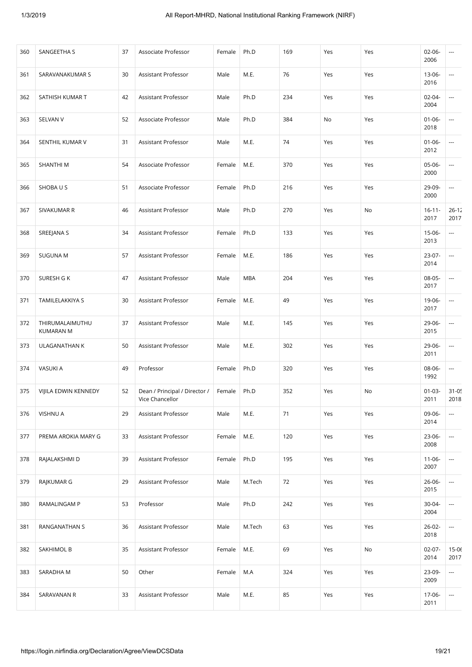| 360 | SANGEETHA S                         | 37 | Associate Professor                              | Female | Ph.D   | 169 | Yes | Yes | $02 - 06 -$<br>2006 | ---                      |
|-----|-------------------------------------|----|--------------------------------------------------|--------|--------|-----|-----|-----|---------------------|--------------------------|
| 361 | SARAVANAKUMAR S                     | 30 | Assistant Professor                              | Male   | M.E.   | 76  | Yes | Yes | 13-06-<br>2016      | ---                      |
| 362 | SATHISH KUMAR T                     | 42 | Assistant Professor                              | Male   | Ph.D   | 234 | Yes | Yes | 02-04-<br>2004      | $\overline{\phantom{a}}$ |
| 363 | SELVAN V                            | 52 | Associate Professor                              | Male   | Ph.D   | 384 | No  | Yes | $01 - 06 -$<br>2018 | $\overline{\phantom{a}}$ |
| 364 | SENTHIL KUMAR V                     | 31 | Assistant Professor                              | Male   | M.E.   | 74  | Yes | Yes | $01 - 06 -$<br>2012 | $\overline{\phantom{a}}$ |
| 365 | SHANTHI M                           | 54 | Associate Professor                              | Female | M.E.   | 370 | Yes | Yes | 05-06-<br>2000      | $\overline{\phantom{a}}$ |
| 366 | SHOBAUS                             | 51 | Associate Professor                              | Female | Ph.D   | 216 | Yes | Yes | 29-09-<br>2000      | $\overline{\phantom{a}}$ |
| 367 | SIVAKUMAR R                         | 46 | Assistant Professor                              | Male   | Ph.D   | 270 | Yes | No  | $16 - 11 -$<br>2017 | $26 - 12$<br>2017        |
| 368 | SREEJANA S                          | 34 | Assistant Professor                              | Female | Ph.D   | 133 | Yes | Yes | 15-06-<br>2013      | $\overline{a}$           |
| 369 | <b>SUGUNA M</b>                     | 57 | Assistant Professor                              | Female | M.E.   | 186 | Yes | Yes | 23-07-<br>2014      | $\overline{\phantom{a}}$ |
| 370 | SURESH G K                          | 47 | Assistant Professor                              | Male   | MBA    | 204 | Yes | Yes | 08-05-<br>2017      | $\overline{\phantom{a}}$ |
| 371 | TAMILELAKKIYA S                     | 30 | Assistant Professor                              | Female | M.E.   | 49  | Yes | Yes | 19-06-<br>2017      | $\overline{\phantom{a}}$ |
| 372 | THIRUMALAIMUTHU<br><b>KUMARAN M</b> | 37 | Assistant Professor                              | Male   | M.E.   | 145 | Yes | Yes | 29-06-<br>2015      | $\overline{\phantom{a}}$ |
| 373 | ULAGANATHAN K                       | 50 | Assistant Professor                              | Male   | M.E.   | 302 | Yes | Yes | 29-06-<br>2011      | $\overline{\phantom{a}}$ |
| 374 | VASUKI A                            | 49 | Professor                                        | Female | Ph.D   | 320 | Yes | Yes | 08-06-<br>1992      | $\overline{\phantom{a}}$ |
| 375 | VIJILA EDWIN KENNEDY                | 52 | Dean / Principal / Director /<br>Vice Chancellor | Female | Ph.D   | 352 | Yes | No  | $01 - 03 -$<br>2011 | $31 - 0!$<br>2018        |
| 376 | VISHNU A                            | 29 | Assistant Professor                              | Male   | M.E.   | 71  | Yes | Yes | 09-06-<br>2014      | $\overline{\phantom{a}}$ |
| 377 | PREMA AROKIA MARY G                 | 33 | Assistant Professor                              | Female | M.E.   | 120 | Yes | Yes | 23-06-<br>2008      | $\overline{\phantom{a}}$ |
| 378 | RAJALAKSHMI D                       | 39 | Assistant Professor                              | Female | Ph.D   | 195 | Yes | Yes | $11 - 06 -$<br>2007 | ---                      |
| 379 | RAJKUMAR G                          | 29 | Assistant Professor                              | Male   | M.Tech | 72  | Yes | Yes | $26 - 06 -$<br>2015 | ---                      |
| 380 | RAMALINGAM P                        | 53 | Professor                                        | Male   | Ph.D   | 242 | Yes | Yes | $30 - 04 -$<br>2004 | $\overline{\phantom{a}}$ |
| 381 | RANGANATHAN S                       | 36 | Assistant Professor                              | Male   | M.Tech | 63  | Yes | Yes | $26 - 02 -$<br>2018 | $\overline{\phantom{a}}$ |
| 382 | SAKHIMOL B                          | 35 | Assistant Professor                              | Female | M.E.   | 69  | Yes | No  | $02 - 07 -$<br>2014 | $15 - 06$<br>2017        |
| 383 | SARADHA M                           | 50 | Other                                            | Female | M.A    | 324 | Yes | Yes | 23-09-<br>2009      | $\overline{\phantom{a}}$ |
| 384 | SARAVANAN R                         | 33 | Assistant Professor                              | Male   | M.E.   | 85  | Yes | Yes | 17-06-<br>2011      | $\overline{\phantom{a}}$ |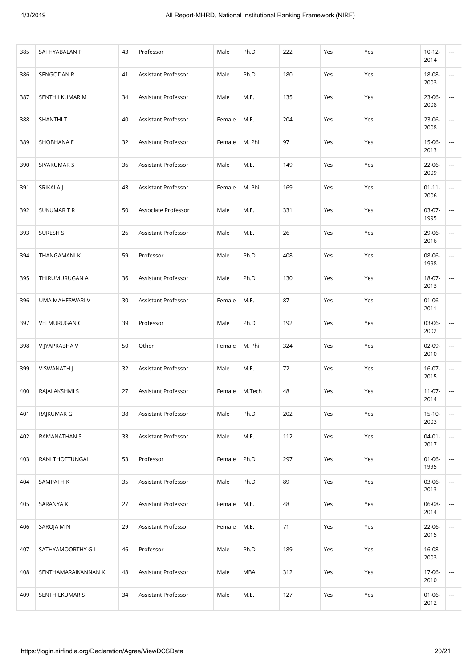| 385 | SATHYABALAN P       | 43 | Professor           | Male   | Ph.D       | 222 | Yes | Yes | $10-12-$<br>2014    | $\cdots$                 |
|-----|---------------------|----|---------------------|--------|------------|-----|-----|-----|---------------------|--------------------------|
| 386 | SENGODAN R          | 41 | Assistant Professor | Male   | Ph.D       | 180 | Yes | Yes | 18-08-<br>2003      | $\cdots$                 |
| 387 | SENTHILKUMAR M      | 34 | Assistant Professor | Male   | M.E.       | 135 | Yes | Yes | 23-06-<br>2008      | $\cdots$                 |
| 388 | SHANTHI T           | 40 | Assistant Professor | Female | M.E.       | 204 | Yes | Yes | 23-06-<br>2008      | $\cdots$                 |
| 389 | SHOBHANA E          | 32 | Assistant Professor | Female | M. Phil    | 97  | Yes | Yes | $15-06-$<br>2013    | $\overline{\phantom{a}}$ |
| 390 | SIVAKUMAR S         | 36 | Assistant Professor | Male   | M.E.       | 149 | Yes | Yes | 22-06-<br>2009      | $\cdots$                 |
| 391 | SRIKALA J           | 43 | Assistant Professor | Female | M. Phil    | 169 | Yes | Yes | $01 - 11 -$<br>2006 | ---                      |
| 392 | <b>SUKUMARTR</b>    | 50 | Associate Professor | Male   | M.E.       | 331 | Yes | Yes | 03-07-<br>1995      | ---                      |
| 393 | SURESH S            | 26 | Assistant Professor | Male   | M.E.       | 26  | Yes | Yes | 29-06-<br>2016      | $\overline{\phantom{a}}$ |
| 394 | THANGAMANI K        | 59 | Professor           | Male   | Ph.D       | 408 | Yes | Yes | 08-06-<br>1998      | $\cdots$                 |
| 395 | THIRUMURUGAN A      | 36 | Assistant Professor | Male   | Ph.D       | 130 | Yes | Yes | 18-07-<br>2013      | $\cdots$                 |
| 396 | UMA MAHESWARI V     | 30 | Assistant Professor | Female | M.E.       | 87  | Yes | Yes | $01 - 06 -$<br>2011 | $\cdots$                 |
| 397 | <b>VELMURUGAN C</b> | 39 | Professor           | Male   | Ph.D       | 192 | Yes | Yes | 03-06-<br>2002      | $\overline{\phantom{a}}$ |
| 398 | VIJYAPRABHA V       | 50 | Other               | Female | M. Phil    | 324 | Yes | Yes | $02-09-$<br>2010    | ---                      |
| 399 | VISWANATH J         | 32 | Assistant Professor | Male   | M.E.       | 72  | Yes | Yes | $16-07-$<br>2015    | ---                      |
| 400 | RAJALAKSHMI S       | 27 | Assistant Professor | Female | M.Tech     | 48  | Yes | Yes | $11-07-$<br>2014    | ---                      |
| 401 | RAJKUMAR G          | 38 | Assistant Professor | Male   | Ph.D       | 202 | Yes | Yes | $15 - 10 -$<br>2003 | $\cdots$                 |
| 402 | RAMANATHAN S        | 33 | Assistant Professor | Male   | M.E.       | 112 | Yes | Yes | $04 - 01 -$<br>2017 | $\hspace{0.05cm} \ldots$ |
| 403 | RANI THOTTUNGAL     | 53 | Professor           | Female | Ph.D       | 297 | Yes | Yes | $01 - 06 -$<br>1995 | ---                      |
| 404 | SAMPATH K           | 35 | Assistant Professor | Male   | Ph.D       | 89  | Yes | Yes | 03-06-<br>2013      | ---                      |
| 405 | SARANYA K           | 27 | Assistant Professor | Female | M.E.       | 48  | Yes | Yes | 06-08-<br>2014      | ---                      |
| 406 | SAROJA M N          | 29 | Assistant Professor | Female | M.E.       | 71  | Yes | Yes | 22-06-<br>2015      | ---                      |
| 407 | SATHYAMOORTHY G L   | 46 | Professor           | Male   | Ph.D       | 189 | Yes | Yes | 16-08-<br>2003      | ---                      |
| 408 | SENTHAMARAIKANNAN K | 48 | Assistant Professor | Male   | <b>MBA</b> | 312 | Yes | Yes | 17-06-<br>2010      | ---                      |
| 409 | SENTHILKUMAR S      | 34 | Assistant Professor | Male   | M.E.       | 127 | Yes | Yes | $01 - 06 -$<br>2012 | ---                      |